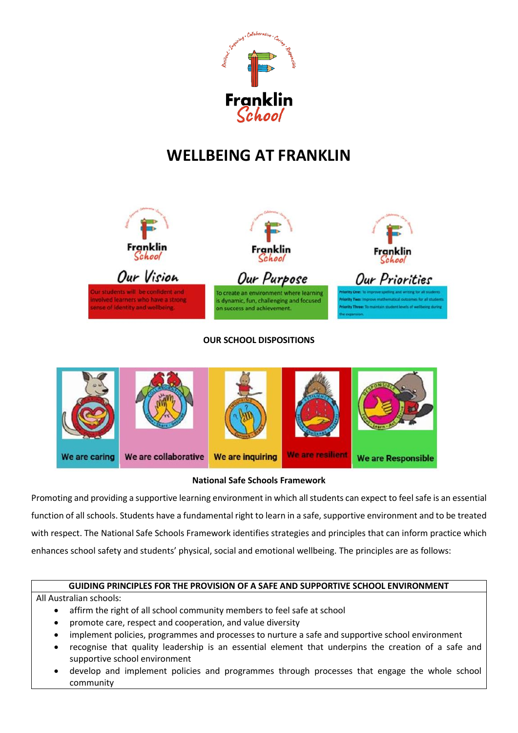

# **WELLBEING AT FRANKLIN**



#### **OUR SCHOOL DISPOSITIONS**



#### **National Safe Schools Framework**

Promoting and providing a supportive learning environment in which all students can expect to feel safe is an essential function of all schools. Students have a fundamental right to learn in a safe, supportive environment and to be treated with respect. The National Safe Schools Framework identifies strategies and principles that can inform practice which enhances school safety and students' physical, social and emotional wellbeing. The principles are as follows:

#### **GUIDING PRINCIPLES FOR THE PROVISION OF A SAFE AND SUPPORTIVE SCHOOL ENVIRONMENT**

All Australian schools:

- affirm the right of all school community members to feel safe at school
- promote care, respect and cooperation, and value diversity
- implement policies, programmes and processes to nurture a safe and supportive school environment
- recognise that quality leadership is an essential element that underpins the creation of a safe and supportive school environment
- develop and implement policies and programmes through processes that engage the whole school community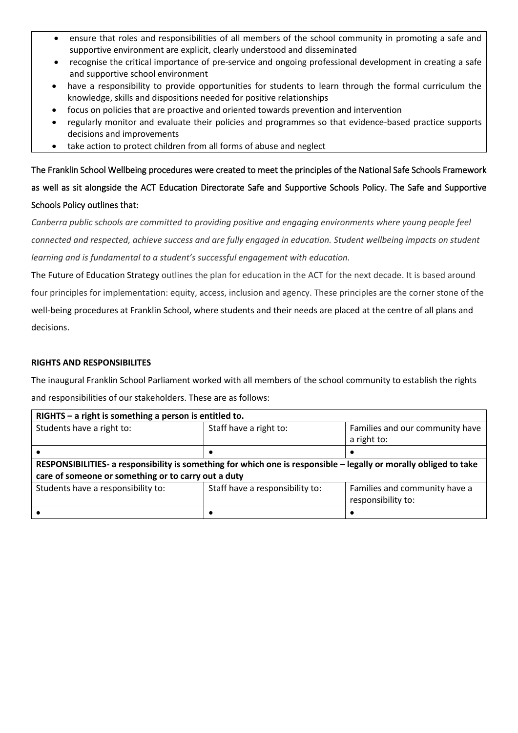- ensure that roles and responsibilities of all members of the school community in promoting a safe and supportive environment are explicit, clearly understood and disseminated
- recognise the critical importance of pre-service and ongoing professional development in creating a safe and supportive school environment
- have a responsibility to provide opportunities for students to learn through the formal curriculum the knowledge, skills and dispositions needed for positive relationships
- focus on policies that are proactive and oriented towards prevention and intervention
- regularly monitor and evaluate their policies and programmes so that evidence-based practice supports decisions and improvements
- take action to protect children from all forms of abuse and neglect

The Franklin School Wellbeing procedures were created to meet the principles of the National Safe Schools Framework as well as sit alongside the ACT Education Directorate Safe and Supportive Schools Policy. The Safe and Supportive Schools Policy outlines that:

*Canberra public schools are committed to providing positive and engaging environments where young people feel connected and respected, achieve success and are fully engaged in education. Student wellbeing impacts on student learning and is fundamental to a student's successful engagement with education.*

The Future of Education Strategy outlines the plan for education in the ACT for the next decade. It is based around four principles for implementation: equity, access, inclusion and agency. These principles are the corner stone of the well-being procedures at Franklin School, where students and their needs are placed at the centre of all plans and decisions.

#### **RIGHTS AND RESPONSIBILITES**

The inaugural Franklin School Parliament worked with all members of the school community to establish the rights and responsibilities of our stakeholders. These are as follows:

| $RIGHTS - a right is something a person is entitled to.$                                                          |                                 |                                 |  |  |  |  |  |
|-------------------------------------------------------------------------------------------------------------------|---------------------------------|---------------------------------|--|--|--|--|--|
| Students have a right to:                                                                                         | Staff have a right to:          | Families and our community have |  |  |  |  |  |
|                                                                                                                   |                                 | a right to:                     |  |  |  |  |  |
|                                                                                                                   |                                 |                                 |  |  |  |  |  |
| RESPONSIBILITIES- a responsibility is something for which one is responsible - legally or morally obliged to take |                                 |                                 |  |  |  |  |  |
| care of someone or something or to carry out a duty                                                               |                                 |                                 |  |  |  |  |  |
| Students have a responsibility to:                                                                                | Staff have a responsibility to: | Families and community have a   |  |  |  |  |  |
| responsibility to:                                                                                                |                                 |                                 |  |  |  |  |  |
|                                                                                                                   |                                 |                                 |  |  |  |  |  |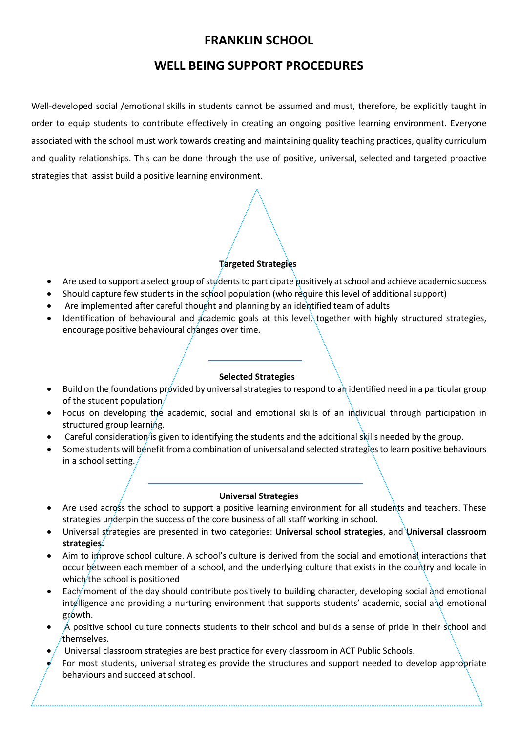# **FRANKLIN SCHOOL**

# **WELL BEING SUPPORT PROCEDURES**

Well-developed social /emotional skills in students cannot be assumed and must, therefore, be explicitly taught in order to equip students to contribute effectively in creating an ongoing positive learning environment. Everyone associated with the school must work towards creating and maintaining quality teaching practices, quality curriculum and quality relationships. This can be done through the use of positive, universal, selected and targeted proactive strategies that assist build a positive learning environment.

### **Targeted Strategies**

- Are used to support a select group of students to participate positively at school and achieve academic success
- Should capture few students in the school population (who require this level of additional support)
- Are implemented after careful thought and planning by an identified team of adults
- Identification of behavioural and academic goals at this level, together with highly structured strategies, encourage positive behavioural changes over time.

#### **Selected Strategies**

- Build on the foundations provided by universal strategies to respond to an identified need in a particular group of the student population
- Focus on developing the academic, social and emotional skills of an individual through participation in structured group learning.
- Careful consideration is given to identifying the students and the additional skills needed by the group.
- Some students will benefit from a combination of universal and selected strategies to learn positive behaviours in a school setting.

#### **Universal Strategies**

- Are used across the school to support a positive learning environment for all students and teachers. These strategies underpin the success of the core business of all staff working in school.
- Universal strategies are presented in two categories: **Universal school strategies**, and **Universal classroom strategies.**
- Aim to improve school culture. A school's culture is derived from the social and emotional interactions that occur between each member of a school, and the underlying culture that exists in the country and locale in which the school is positioned
- Each moment of the day should contribute positively to building character, developing social and emotional intelligence and providing a nurturing environment that supports students' academic, social and emotional growth.
- A positive school culture connects students to their school and builds a sense of pride in their school and themselves.
- Universal classroom strategies are best practice for every classroom in ACT Public Schools.
- For most students, universal strategies provide the structures and support needed to develop appropriate behaviours and succeed at school.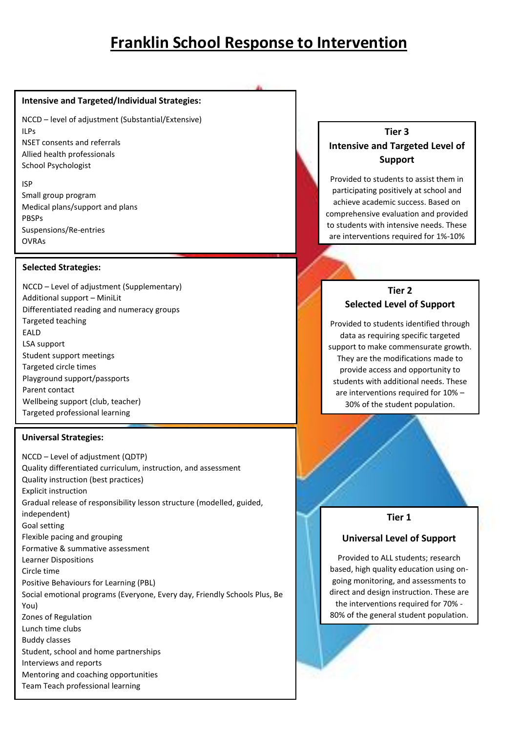# **Franklin School Response to Intervention**

#### **Intensive and Targeted/Individual Strategies:**

NCCD – level of adjustment (Substantial/Extensive) ILPs NSET consents and referrals Allied health professionals School Psychologist

ISP Small group program Medical plans/support and plans PBSPs Suspensions/Re-entries OVRAs

#### **Selected Strategies:**

NCCD – Level of adjustment (Supplementary) Additional support – MiniLit Differentiated reading and numeracy groups Targeted teaching EALD LSA support Student support meetings Targeted circle times Playground support/passports Parent contact Wellbeing support (club, teacher) Targeted professional learning

#### **Universal Strategies:**

NCCD – Level of adjustment (QDTP) Quality differentiated curriculum, instruction, and assessment Quality instruction (best practices) Explicit instruction Gradual release of responsibility lesson structure (modelled, guided, independent) Goal setting Flexible pacing and grouping Formative & summative assessment Learner Dispositions Circle time Positive Behaviours for Learning (PBL) Social emotional programs (Everyone, Every day, Friendly Schools Plus, Be You) Zones of Regulation Lunch time clubs Buddy classes Student, school and home partnerships Interviews and reports Mentoring and coaching opportunities Team Teach professional learning

# **Tier 3 Intensive and Targeted Level of Support**

Provided to students to assist them in participating positively at school and achieve academic success. Based on comprehensive evaluation and provided to students with intensive needs. These are interventions required for 1%-10%

of the student population.

### **Tier 2 Selected Level of Support**

Provided to students identified through data as requiring specific targeted support to make commensurate growth. They are the modifications made to provide access and opportunity to students with additional needs. These are interventions required for 10% – 30% of the student population.

#### **Tier 1**

#### **Universal Level of Support**

Provided to ALL students; research based, high quality education using ongoing monitoring, and assessments to direct and design instruction. These are the interventions required for 70% - 80% of the general student population.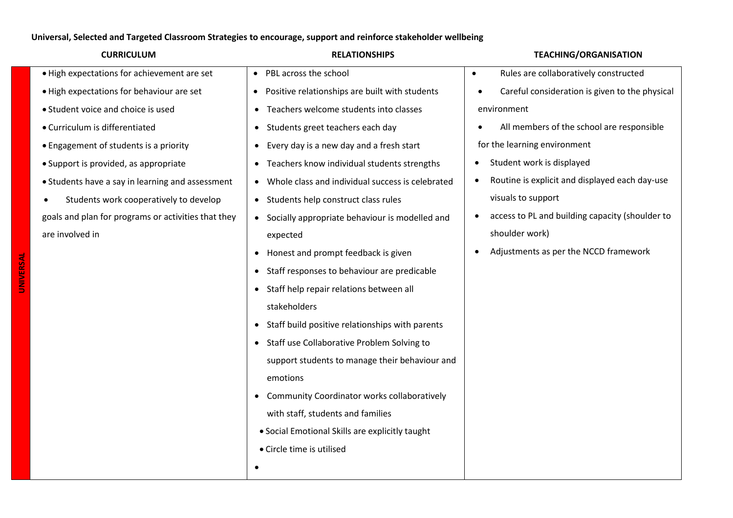### **Universal, Selected and Targeted Classroom Strategies to encourage, support and reinforce stakeholder wellbeing**

| <b>CURRICULUM</b>                                   | <b>RELATIONSHIPS</b>                                          | <b>TEACHING/ORGANISATION</b>                                 |
|-----------------------------------------------------|---------------------------------------------------------------|--------------------------------------------------------------|
| . High expectations for achievement are set         | PBL across the school<br>$\bullet$                            | Rules are collaboratively constructed<br>$\bullet$           |
| . High expectations for behaviour are set           | Positive relationships are built with students<br>$\bullet$   | Careful consideration is given to the physical               |
| • Student voice and choice is used                  | Teachers welcome students into classes<br>$\bullet$           | environment                                                  |
| • Curriculum is differentiated                      | Students greet teachers each day<br>$\bullet$                 | All members of the school are responsible                    |
| • Engagement of students is a priority              | Every day is a new day and a fresh start<br>$\bullet$         | for the learning environment                                 |
| • Support is provided, as appropriate               | Teachers know individual students strengths<br>$\bullet$      | Student work is displayed<br>$\bullet$                       |
| • Students have a say in learning and assessment    | Whole class and individual success is celebrated<br>$\bullet$ | Routine is explicit and displayed each day-use<br>$\bullet$  |
| Students work cooperatively to develop              | Students help construct class rules<br>$\bullet$              | visuals to support                                           |
| goals and plan for programs or activities that they | Socially appropriate behaviour is modelled and<br>$\bullet$   | access to PL and building capacity (shoulder to<br>$\bullet$ |
| are involved in                                     | expected                                                      | shoulder work)                                               |
|                                                     | Honest and prompt feedback is given<br>$\bullet$              | Adjustments as per the NCCD framework                        |
|                                                     | Staff responses to behaviour are predicable<br>$\bullet$      |                                                              |
|                                                     | Staff help repair relations between all<br>$\bullet$          |                                                              |
|                                                     | stakeholders                                                  |                                                              |
|                                                     | Staff build positive relationships with parents<br>$\bullet$  |                                                              |
|                                                     | Staff use Collaborative Problem Solving to<br>$\bullet$       |                                                              |
|                                                     | support students to manage their behaviour and                |                                                              |
|                                                     | emotions                                                      |                                                              |
|                                                     | Community Coordinator works collaboratively<br>$\bullet$      |                                                              |
|                                                     | with staff, students and families                             |                                                              |
|                                                     | • Social Emotional Skills are explicitly taught               |                                                              |
|                                                     | • Circle time is utilised                                     |                                                              |
|                                                     |                                                               |                                                              |
|                                                     |                                                               |                                                              |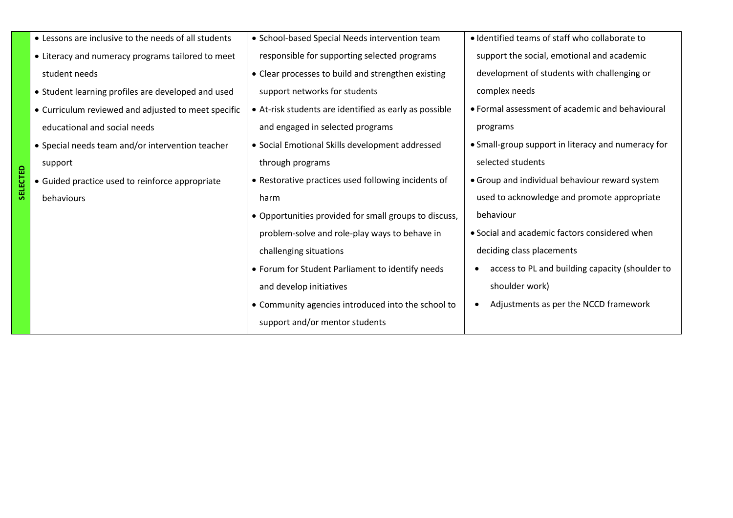| • Lessons are inclusive to the needs of all students | • School-based Special Needs intervention team         | • Identified teams of staff who collaborate to     |
|------------------------------------------------------|--------------------------------------------------------|----------------------------------------------------|
| • Literacy and numeracy programs tailored to meet    | responsible for supporting selected programs           | support the social, emotional and academic         |
| student needs                                        | • Clear processes to build and strengthen existing     | development of students with challenging or        |
| • Student learning profiles are developed and used   | support networks for students                          | complex needs                                      |
| • Curriculum reviewed and adjusted to meet specific  | • At-risk students are identified as early as possible | • Formal assessment of academic and behavioural    |
| educational and social needs                         | and engaged in selected programs                       | programs                                           |
| • Special needs team and/or intervention teacher     | • Social Emotional Skills development addressed        | • Small-group support in literacy and numeracy for |
| support                                              | through programs                                       | selected students                                  |
| • Guided practice used to reinforce appropriate      | • Restorative practices used following incidents of    | • Group and individual behaviour reward system     |
| behaviours                                           | harm                                                   | used to acknowledge and promote appropriate        |
|                                                      | • Opportunities provided for small groups to discuss,  | behaviour                                          |
|                                                      | problem-solve and role-play ways to behave in          | • Social and academic factors considered when      |
|                                                      | challenging situations                                 | deciding class placements                          |
|                                                      | • Forum for Student Parliament to identify needs       | access to PL and building capacity (shoulder to    |
|                                                      | and develop initiatives                                | shoulder work)                                     |
|                                                      | • Community agencies introduced into the school to     | Adjustments as per the NCCD framework              |
|                                                      | support and/or mentor students                         |                                                    |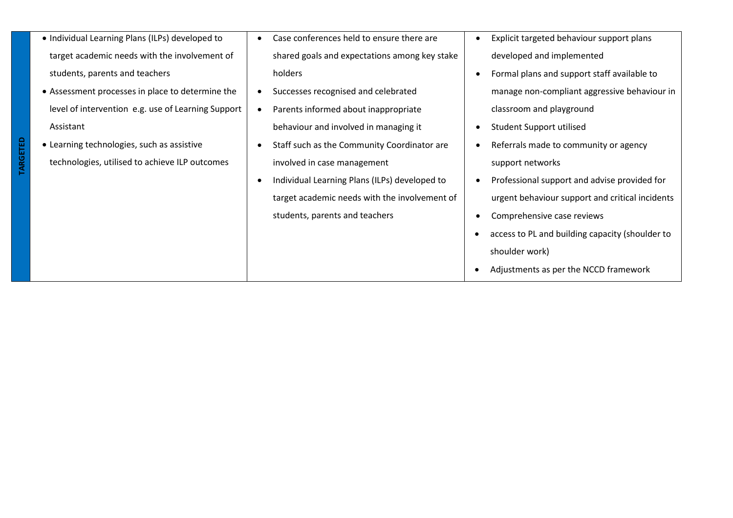| • Individual Learning Plans (ILPs) developed to    | Case conferences held to ensure there are     | Explicit targeted behaviour support plans       |
|----------------------------------------------------|-----------------------------------------------|-------------------------------------------------|
| target academic needs with the involvement of      | shared goals and expectations among key stake | developed and implemented                       |
| students, parents and teachers                     | holders                                       | Formal plans and support staff available to     |
| • Assessment processes in place to determine the   | Successes recognised and celebrated           | manage non-compliant aggressive behaviour in    |
| level of intervention e.g. use of Learning Support | Parents informed about inappropriate          | classroom and playground                        |
| Assistant                                          | behaviour and involved in managing it         | Student Support utilised                        |
| • Learning technologies, such as assistive         | Staff such as the Community Coordinator are   | Referrals made to community or agency           |
| technologies, utilised to achieve ILP outcomes     | involved in case management                   | support networks                                |
|                                                    | Individual Learning Plans (ILPs) developed to | Professional support and advise provided for    |
|                                                    | target academic needs with the involvement of | urgent behaviour support and critical incidents |
|                                                    | students, parents and teachers                | Comprehensive case reviews                      |
|                                                    |                                               | access to PL and building capacity (shoulder to |
|                                                    |                                               | shoulder work)                                  |
|                                                    |                                               | Adjustments as per the NCCD framework           |

**TARGETED**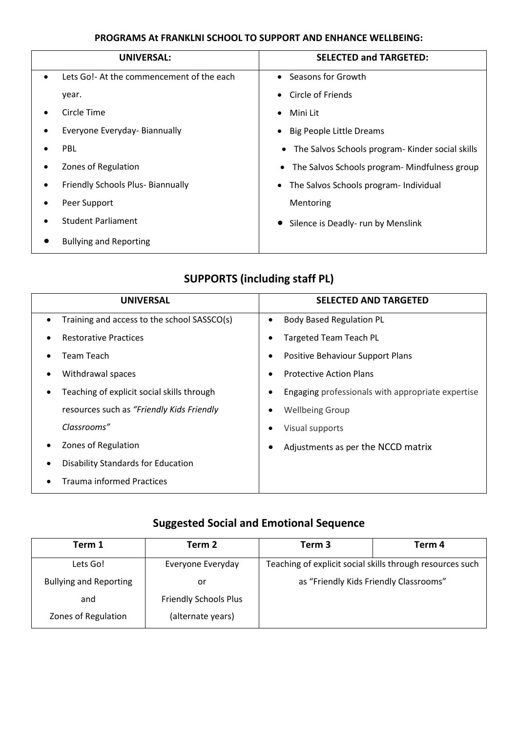### **PROGRAMS At FRANKLNI SCHOOL TO SUPPORT AND ENHANCE WELLBEING:**

| UNIVERSAL:                                             | <b>SELECTED and TARGETED:</b>                                 |
|--------------------------------------------------------|---------------------------------------------------------------|
| Lets Go!- At the commencement of the each<br>$\bullet$ | • Seasons for Growth                                          |
| year.                                                  | Circle of Friends<br>$\bullet$                                |
| Circle Time                                            | Mini Lit<br>$\bullet$                                         |
| Everyone Everyday- Biannually                          | <b>Big People Little Dreams</b><br>٠                          |
| PBL                                                    | The Salvos Schools program- Kinder social skills<br>$\bullet$ |
| Zones of Regulation                                    | • The Salvos Schools program- Mindfulness group               |
| Friendly Schools Plus- Biannually                      | The Salvos Schools program- Individual<br>٠                   |
| Peer Support                                           | Mentoring                                                     |
| <b>Student Parliament</b>                              | Silence is Deadly- run by Menslink                            |
| <b>Bullying and Reporting</b>                          |                                                               |

# **SUPPORTS (including staff PL)**

| <b>UNIVERSAL</b>                            | <b>SELECTED AND TARGETED</b>                      |
|---------------------------------------------|---------------------------------------------------|
|                                             |                                                   |
| Training and access to the school SASSCO(s) | <b>Body Based Regulation PL</b>                   |
| <b>Restorative Practices</b>                | <b>Targeted Team Teach PL</b>                     |
| Team Teach                                  | Positive Behaviour Support Plans                  |
| Withdrawal spaces                           | <b>Protective Action Plans</b>                    |
| Teaching of explicit social skills through  | Engaging professionals with appropriate expertise |
| resources such as "Friendly Kids Friendly   | <b>Wellbeing Group</b>                            |
| Classrooms"                                 | Visual supports                                   |
| Zones of Regulation                         | Adjustments as per the NCCD matrix                |
| <b>Disability Standards for Education</b>   |                                                   |
| <b>Trauma informed Practices</b>            |                                                   |

# **Suggested Social and Emotional Sequence**

| Term 1                        | Term 2                       | Term 3                                                    | Term 4 |
|-------------------------------|------------------------------|-----------------------------------------------------------|--------|
| Lets Go!                      | Everyone Everyday            | Teaching of explicit social skills through resources such |        |
| <b>Bullying and Reporting</b> | or                           | as "Friendly Kids Friendly Classrooms"                    |        |
| and                           | <b>Friendly Schools Plus</b> |                                                           |        |
| Zones of Regulation           | (alternate years)            |                                                           |        |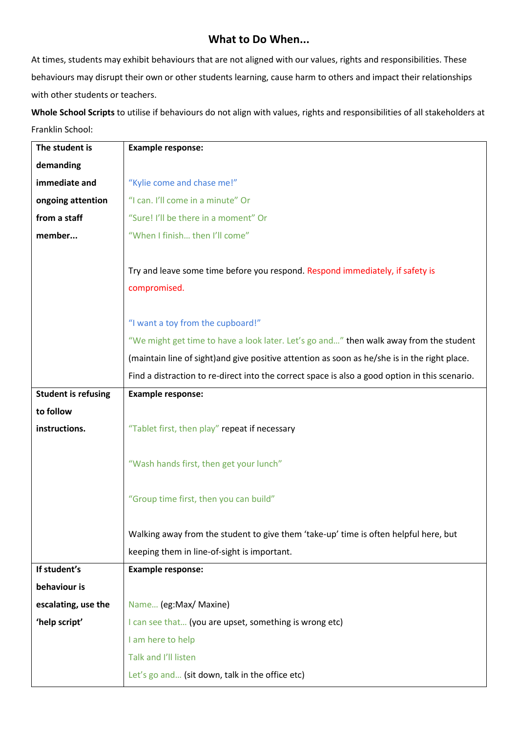## **What to Do When...**

At times, students may exhibit behaviours that are not aligned with our values, rights and responsibilities. These behaviours may disrupt their own or other students learning, cause harm to others and impact their relationships with other students or teachers.

**Whole School Scripts** to utilise if behaviours do not align with values, rights and responsibilities of all stakeholders at Franklin School:

| The student is             | <b>Example response:</b>                                                                       |
|----------------------------|------------------------------------------------------------------------------------------------|
| demanding                  |                                                                                                |
| immediate and              | "Kylie come and chase me!"                                                                     |
| ongoing attention          | "I can. I'll come in a minute" Or                                                              |
| from a staff               | "Sure! I'll be there in a moment" Or                                                           |
| member                     | "When I finish then I'll come"                                                                 |
|                            | Try and leave some time before you respond. Respond immediately, if safety is<br>compromised.  |
|                            |                                                                                                |
|                            | "I want a toy from the cupboard!"                                                              |
|                            | "We might get time to have a look later. Let's go and" then walk away from the student         |
|                            | (maintain line of sight) and give positive attention as soon as he/she is in the right place.  |
|                            | Find a distraction to re-direct into the correct space is also a good option in this scenario. |
| <b>Student is refusing</b> | <b>Example response:</b>                                                                       |
| to follow                  |                                                                                                |
| instructions.              | "Tablet first, then play" repeat if necessary                                                  |
|                            | "Wash hands first, then get your lunch"                                                        |
|                            | "Group time first, then you can build"                                                         |
|                            |                                                                                                |
|                            | Walking away from the student to give them 'take-up' time is often helpful here, but           |
|                            | keeping them in line-of-sight is important.                                                    |
| If student's               | <b>Example response:</b>                                                                       |
| behaviour is               |                                                                                                |
|                            |                                                                                                |
| escalating, use the        | Name (eg:Max/ Maxine)                                                                          |
| 'help script'              | I can see that (you are upset, something is wrong etc)                                         |
|                            | I am here to help                                                                              |
|                            | Talk and I'll listen                                                                           |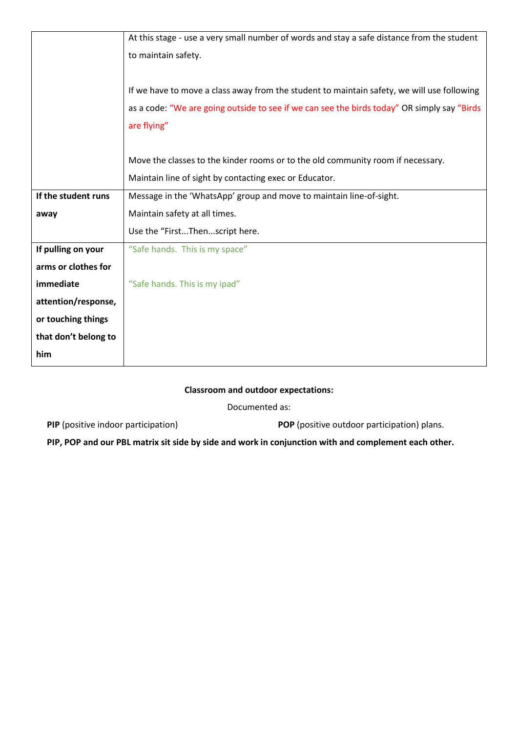|                      | At this stage - use a very small number of words and stay a safe distance from the student   |
|----------------------|----------------------------------------------------------------------------------------------|
|                      | to maintain safety.                                                                          |
|                      |                                                                                              |
|                      | If we have to move a class away from the student to maintain safety, we will use following   |
|                      | as a code: "We are going outside to see if we can see the birds today" OR simply say "Birds" |
|                      | are flying"                                                                                  |
|                      |                                                                                              |
|                      | Move the classes to the kinder rooms or to the old community room if necessary.              |
|                      | Maintain line of sight by contacting exec or Educator.                                       |
| If the student runs  | Message in the 'WhatsApp' group and move to maintain line-of-sight.                          |
| away                 | Maintain safety at all times.                                                                |
|                      | Use the "FirstThenscript here.                                                               |
| If pulling on your   | "Safe hands. This is my space"                                                               |
| arms or clothes for  |                                                                                              |
| immediate            | "Safe hands. This is my ipad"                                                                |
| attention/response,  |                                                                                              |
| or touching things   |                                                                                              |
| that don't belong to |                                                                                              |
| him                  |                                                                                              |

#### **Classroom and outdoor expectations:**

Documented as:

**PIP** (positive indoor participation) **POP** (positive outdoor participation) plans.

**PIP, POP and our PBL matrix sit side by side and work in conjunction with and complement each other.**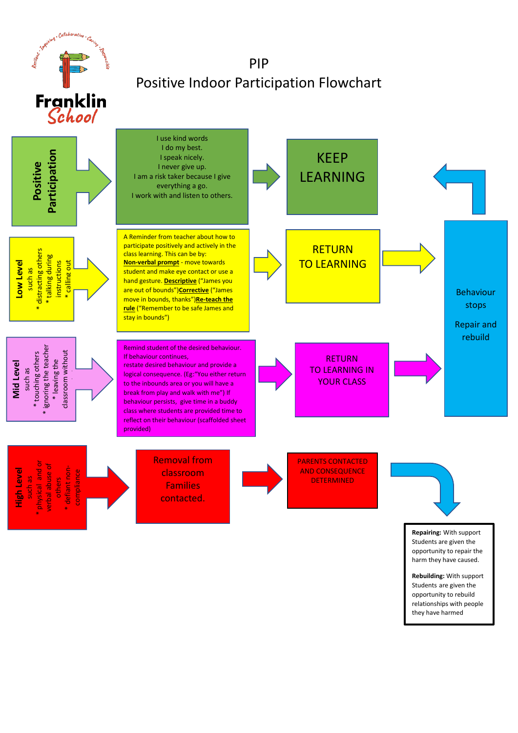

opportunity to rebuild relationships with people they have harmed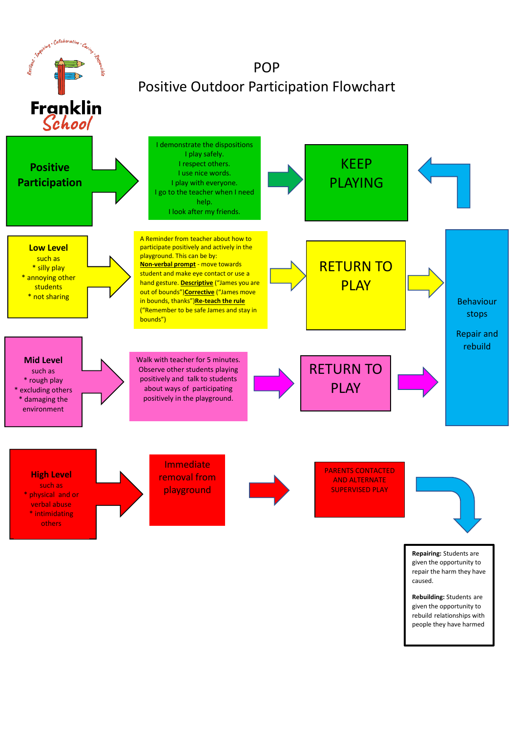

rebuild relationships with people they have harmed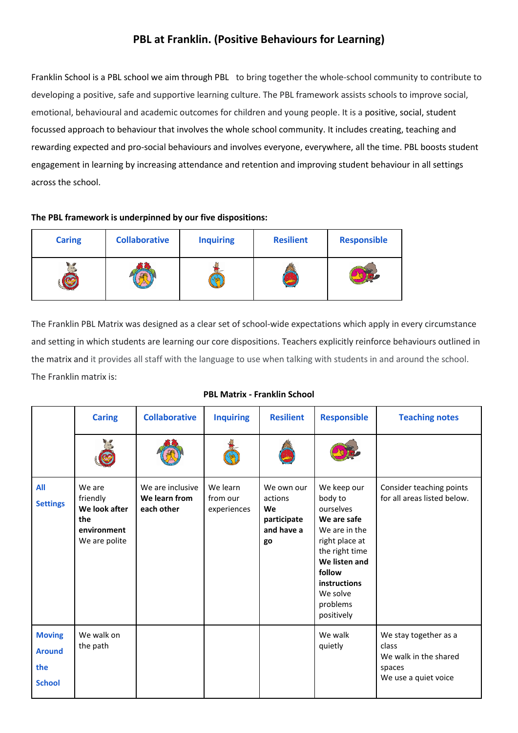# **PBL at Franklin. (Positive Behaviours for Learning)**

Franklin School is a PBL school we aim through PBL to bring together the whole-school community to contribute to developing a positive, safe and supportive learning culture. The PBL framework assists schools to improve social, emotional, behavioural and academic outcomes for children and young people. It is a positive, social, student focussed approach to behaviour that involves the whole school community. It includes creating, teaching and rewarding expected and pro-social behaviours and involves everyone, everywhere, all the time. PBL boosts student engagement in learning by increasing attendance and retention and improving student behaviour in all settings across the school.

#### **The PBL framework is underpinned by our five dispositions:**

| <b>Caring</b> | <b>Collaborative</b> | <b>Inquiring</b> | <b>Resilient</b> | <b>Responsible</b> |
|---------------|----------------------|------------------|------------------|--------------------|
|               |                      |                  |                  |                    |

The Franklin PBL Matrix was designed as a clear set of school-wide expectations which apply in every circumstance and setting in which students are learning our core dispositions. Teachers explicitly reinforce behaviours outlined in the matrix and it provides all staff with the language to use when talking with students in and around the school. The Franklin matrix is:

|                                                        | <b>Caring</b>                                                              | <b>Collaborative</b>                            | <b>Inquiring</b>                    | <b>Resilient</b>                                               | <b>Responsible</b>                                                                                                                                                                       | <b>Teaching notes</b>                                                                     |
|--------------------------------------------------------|----------------------------------------------------------------------------|-------------------------------------------------|-------------------------------------|----------------------------------------------------------------|------------------------------------------------------------------------------------------------------------------------------------------------------------------------------------------|-------------------------------------------------------------------------------------------|
|                                                        |                                                                            |                                                 |                                     |                                                                |                                                                                                                                                                                          |                                                                                           |
| All<br><b>Settings</b>                                 | We are<br>friendly<br>We look after<br>the<br>environment<br>We are polite | We are inclusive<br>We learn from<br>each other | We learn<br>from our<br>experiences | We own our<br>actions<br>We<br>participate<br>and have a<br>go | We keep our<br>body to<br>ourselves<br>We are safe<br>We are in the<br>right place at<br>the right time<br>We listen and<br>follow<br>instructions<br>We solve<br>problems<br>positively | Consider teaching points<br>for all areas listed below.                                   |
| <b>Moving</b><br><b>Around</b><br>the<br><b>School</b> | We walk on<br>the path                                                     |                                                 |                                     |                                                                | We walk<br>quietly                                                                                                                                                                       | We stay together as a<br>class<br>We walk in the shared<br>spaces<br>We use a quiet voice |

#### **PBL Matrix - Franklin School**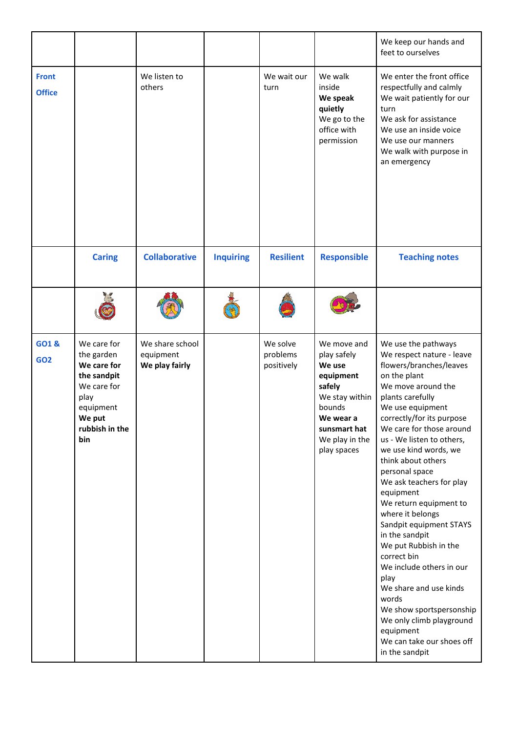|                               |                                                                                                                                |                                                |                  |                                    |                                                                                                                                                       | We keep our hands and<br>feet to ourselves                                                                                                                                                                                                                                                                                                                                                                                                                                                                                                                                                                                                                                              |
|-------------------------------|--------------------------------------------------------------------------------------------------------------------------------|------------------------------------------------|------------------|------------------------------------|-------------------------------------------------------------------------------------------------------------------------------------------------------|-----------------------------------------------------------------------------------------------------------------------------------------------------------------------------------------------------------------------------------------------------------------------------------------------------------------------------------------------------------------------------------------------------------------------------------------------------------------------------------------------------------------------------------------------------------------------------------------------------------------------------------------------------------------------------------------|
| <b>Front</b><br><b>Office</b> |                                                                                                                                | We listen to<br>others                         |                  | We wait our<br>turn                | We walk<br>inside<br>We speak<br>quietly<br>We go to the<br>office with<br>permission                                                                 | We enter the front office<br>respectfully and calmly<br>We wait patiently for our<br>turn<br>We ask for assistance<br>We use an inside voice<br>We use our manners<br>We walk with purpose in<br>an emergency                                                                                                                                                                                                                                                                                                                                                                                                                                                                           |
|                               | <b>Caring</b>                                                                                                                  | <b>Collaborative</b>                           | <b>Inquiring</b> | <b>Resilient</b>                   | <b>Responsible</b>                                                                                                                                    | <b>Teaching notes</b>                                                                                                                                                                                                                                                                                                                                                                                                                                                                                                                                                                                                                                                                   |
|                               |                                                                                                                                |                                                |                  |                                    |                                                                                                                                                       |                                                                                                                                                                                                                                                                                                                                                                                                                                                                                                                                                                                                                                                                                         |
| <b>GO1&amp;</b><br><b>GO2</b> | We care for<br>the garden<br>We care for<br>the sandpit<br>We care for<br>play<br>equipment<br>We put<br>rubbish in the<br>bin | We share school<br>equipment<br>We play fairly |                  | We solve<br>problems<br>positively | We move and<br>play safely<br>We use<br>equipment<br>safely<br>We stay within<br>bounds<br>We wear a<br>sunsmart hat<br>We play in the<br>play spaces | We use the pathways<br>We respect nature - leave<br>flowers/branches/leaves<br>on the plant<br>We move around the<br>plants carefully<br>We use equipment<br>correctly/for its purpose<br>We care for those around<br>us - We listen to others,<br>we use kind words, we<br>think about others<br>personal space<br>We ask teachers for play<br>equipment<br>We return equipment to<br>where it belongs<br>Sandpit equipment STAYS<br>in the sandpit<br>We put Rubbish in the<br>correct bin<br>We include others in our<br>play<br>We share and use kinds<br>words<br>We show sportspersonship<br>We only climb playground<br>equipment<br>We can take our shoes off<br>in the sandpit |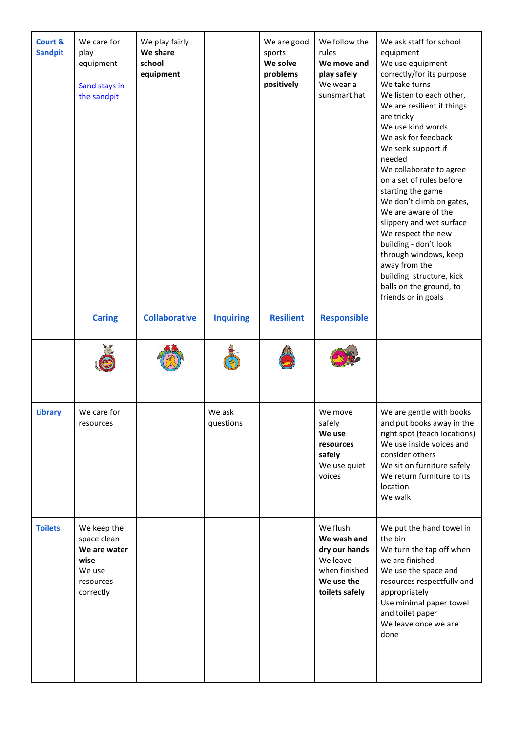| Court &<br><b>Sandpit</b> | We care for<br>play<br>equipment<br>Sand stays in<br>the sandpit                       | We play fairly<br>We share<br>school<br>equipment |                     | We are good<br>sports<br>We solve<br>problems<br>positively | We follow the<br>rules<br>We move and<br>play safely<br>We wear a<br>sunsmart hat                     | We ask staff for school<br>equipment<br>We use equipment<br>correctly/for its purpose<br>We take turns<br>We listen to each other,<br>We are resilient if things<br>are tricky<br>We use kind words<br>We ask for feedback<br>We seek support if<br>needed<br>We collaborate to agree<br>on a set of rules before<br>starting the game<br>We don't climb on gates,<br>We are aware of the<br>slippery and wet surface<br>We respect the new<br>building - don't look<br>through windows, keep<br>away from the<br>building structure, kick<br>balls on the ground, to<br>friends or in goals |
|---------------------------|----------------------------------------------------------------------------------------|---------------------------------------------------|---------------------|-------------------------------------------------------------|-------------------------------------------------------------------------------------------------------|----------------------------------------------------------------------------------------------------------------------------------------------------------------------------------------------------------------------------------------------------------------------------------------------------------------------------------------------------------------------------------------------------------------------------------------------------------------------------------------------------------------------------------------------------------------------------------------------|
|                           | <b>Caring</b>                                                                          | <b>Collaborative</b>                              | <b>Inquiring</b>    | <b>Resilient</b>                                            | <b>Responsible</b>                                                                                    |                                                                                                                                                                                                                                                                                                                                                                                                                                                                                                                                                                                              |
|                           |                                                                                        |                                                   |                     |                                                             |                                                                                                       |                                                                                                                                                                                                                                                                                                                                                                                                                                                                                                                                                                                              |
| <b>Library</b>            | We care for<br>resources                                                               |                                                   | We ask<br>questions |                                                             | We move<br>safely<br>We use<br>resources<br>safely<br>We use quiet<br>voices                          | We are gentle with books<br>and put books away in the<br>right spot (teach locations)<br>We use inside voices and<br>consider others<br>We sit on furniture safely<br>We return furniture to its<br>location<br>We walk                                                                                                                                                                                                                                                                                                                                                                      |
| <b>Toilets</b>            | We keep the<br>space clean<br>We are water<br>wise<br>We use<br>resources<br>correctly |                                                   |                     |                                                             | We flush<br>We wash and<br>dry our hands<br>We leave<br>when finished<br>We use the<br>toilets safely | We put the hand towel in<br>the bin<br>We turn the tap off when<br>we are finished<br>We use the space and<br>resources respectfully and<br>appropriately<br>Use minimal paper towel<br>and toilet paper<br>We leave once we are<br>done                                                                                                                                                                                                                                                                                                                                                     |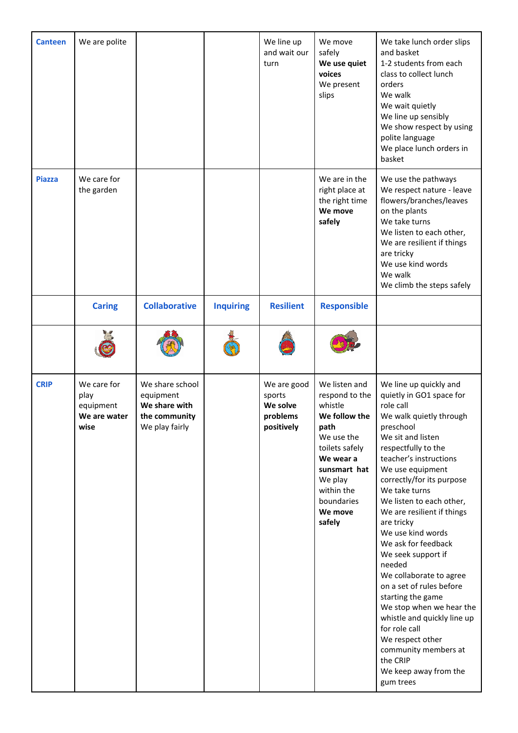| <b>Canteen</b> | We are polite                                            |                                                                                  |                  | We line up<br>and wait our<br>turn                          | We move<br>safely<br>We use quiet<br>voices<br>We present<br>slips                                                                                                                           | We take lunch order slips<br>and basket<br>1-2 students from each<br>class to collect lunch<br>orders<br>We walk<br>We wait quietly<br>We line up sensibly<br>We show respect by using<br>polite language<br>We place lunch orders in<br>basket                                                                                                                                                                                                                                                                                                                                                                                                           |
|----------------|----------------------------------------------------------|----------------------------------------------------------------------------------|------------------|-------------------------------------------------------------|----------------------------------------------------------------------------------------------------------------------------------------------------------------------------------------------|-----------------------------------------------------------------------------------------------------------------------------------------------------------------------------------------------------------------------------------------------------------------------------------------------------------------------------------------------------------------------------------------------------------------------------------------------------------------------------------------------------------------------------------------------------------------------------------------------------------------------------------------------------------|
| <b>Piazza</b>  | We care for<br>the garden                                |                                                                                  |                  |                                                             | We are in the<br>right place at<br>the right time<br>We move<br>safely                                                                                                                       | We use the pathways<br>We respect nature - leave<br>flowers/branches/leaves<br>on the plants<br>We take turns<br>We listen to each other,<br>We are resilient if things<br>are tricky<br>We use kind words<br>We walk<br>We climb the steps safely                                                                                                                                                                                                                                                                                                                                                                                                        |
|                | <b>Caring</b>                                            | <b>Collaborative</b>                                                             | <b>Inquiring</b> | <b>Resilient</b>                                            | <b>Responsible</b>                                                                                                                                                                           |                                                                                                                                                                                                                                                                                                                                                                                                                                                                                                                                                                                                                                                           |
|                |                                                          |                                                                                  |                  |                                                             |                                                                                                                                                                                              |                                                                                                                                                                                                                                                                                                                                                                                                                                                                                                                                                                                                                                                           |
| <b>CRIP</b>    | We care for<br>play<br>equipment<br>We are water<br>wise | We share school<br>equipment<br>We share with<br>the community<br>We play fairly |                  | We are good<br>sports<br>We solve<br>problems<br>positively | We listen and<br>respond to the<br>whistle<br>We follow the<br>path<br>We use the<br>toilets safely<br>We wear a<br>sunsmart hat<br>We play<br>within the<br>boundaries<br>We move<br>safely | We line up quickly and<br>quietly in GO1 space for<br>role call<br>We walk quietly through<br>preschool<br>We sit and listen<br>respectfully to the<br>teacher's instructions<br>We use equipment<br>correctly/for its purpose<br>We take turns<br>We listen to each other,<br>We are resilient if things<br>are tricky<br>We use kind words<br>We ask for feedback<br>We seek support if<br>needed<br>We collaborate to agree<br>on a set of rules before<br>starting the game<br>We stop when we hear the<br>whistle and quickly line up<br>for role call<br>We respect other<br>community members at<br>the CRIP<br>We keep away from the<br>gum trees |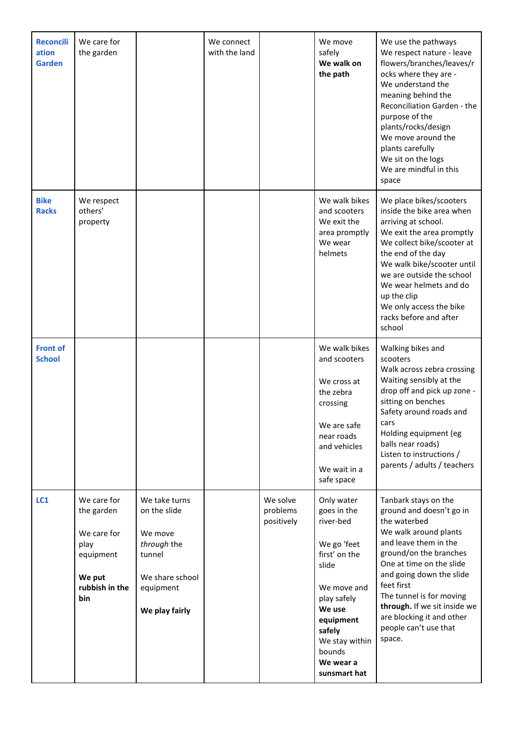| <b>Reconcili</b><br>ation<br><b>Garden</b> | We care for<br>the garden                                                                        |                                                                                                                     | We connect<br>with the land |                                    | We move<br>safely<br>We walk on<br>the path                                                                                                                                                             | We use the pathways<br>We respect nature - leave<br>flowers/branches/leaves/r<br>ocks where they are -<br>We understand the<br>meaning behind the<br>Reconciliation Garden - the<br>purpose of the<br>plants/rocks/design<br>We move around the<br>plants carefully<br>We sit on the logs<br>We are mindful in this<br>space                   |
|--------------------------------------------|--------------------------------------------------------------------------------------------------|---------------------------------------------------------------------------------------------------------------------|-----------------------------|------------------------------------|---------------------------------------------------------------------------------------------------------------------------------------------------------------------------------------------------------|------------------------------------------------------------------------------------------------------------------------------------------------------------------------------------------------------------------------------------------------------------------------------------------------------------------------------------------------|
| <b>Bike</b><br><b>Racks</b>                | We respect<br>others'<br>property                                                                |                                                                                                                     |                             |                                    | We walk bikes<br>and scooters<br>We exit the<br>area promptly<br>We wear<br>helmets                                                                                                                     | We place bikes/scooters<br>inside the bike area when<br>arriving at school.<br>We exit the area promptly<br>We collect bike/scooter at<br>the end of the day<br>We walk bike/scooter until<br>we are outside the school<br>We wear helmets and do<br>up the clip<br>We only access the bike<br>racks before and after<br>school                |
| <b>Front of</b><br><b>School</b>           |                                                                                                  |                                                                                                                     |                             |                                    | We walk bikes<br>and scooters<br>We cross at<br>the zebra<br>crossing<br>We are safe<br>near roads<br>and vehicles<br>We wait in a<br>safe space                                                        | Walking bikes and<br>scooters<br>Walk across zebra crossing<br>Waiting sensibly at the<br>drop off and pick up zone -<br>sitting on benches<br>Safety around roads and<br>cars<br>Holding equipment (eg<br>balls near roads)<br>Listen to instructions /<br>parents / adults / teachers                                                        |
| LC1                                        | We care for<br>the garden<br>We care for<br>play<br>equipment<br>We put<br>rubbish in the<br>bin | We take turns<br>on the slide<br>We move<br>through the<br>tunnel<br>We share school<br>equipment<br>We play fairly |                             | We solve<br>problems<br>positively | Only water<br>goes in the<br>river-bed<br>We go 'feet<br>first' on the<br>slide<br>We move and<br>play safely<br>We use<br>equipment<br>safely<br>We stay within<br>bounds<br>We wear a<br>sunsmart hat | Tanbark stays on the<br>ground and doesn't go in<br>the waterbed<br>We walk around plants<br>and leave them in the<br>ground/on the branches<br>One at time on the slide<br>and going down the slide<br>feet first<br>The tunnel is for moving<br>through. If we sit inside we<br>are blocking it and other<br>people can't use that<br>space. |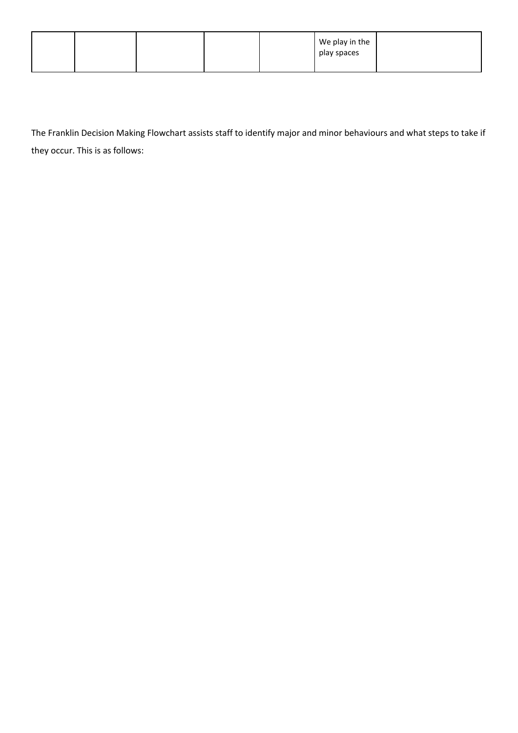|  |  | We play in the<br>play spaces |  |
|--|--|-------------------------------|--|
|  |  |                               |  |

The Franklin Decision Making Flowchart assists staff to identify major and minor behaviours and what steps to take if they occur. This is as follows: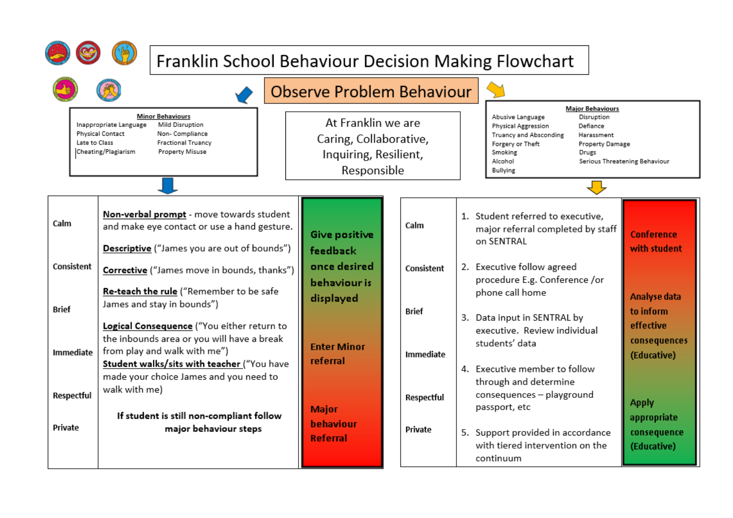|                                                                                                                                                                                                            | Franklin School Behaviour Decision Making Flowchart                                                                                                    |  |                                                                                      |                    |                                                                                                                                                                                                                                                                              |                                                       |  |
|------------------------------------------------------------------------------------------------------------------------------------------------------------------------------------------------------------|--------------------------------------------------------------------------------------------------------------------------------------------------------|--|--------------------------------------------------------------------------------------|--------------------|------------------------------------------------------------------------------------------------------------------------------------------------------------------------------------------------------------------------------------------------------------------------------|-------------------------------------------------------|--|
|                                                                                                                                                                                                            |                                                                                                                                                        |  | <b>Observe Problem Behaviour</b>                                                     |                    |                                                                                                                                                                                                                                                                              |                                                       |  |
| <b>Minor Behaviours</b><br>Mild Disruption<br>Inappropriate Language<br><b>Physical Contact</b><br>Non- Compliance<br>Late to Class<br><b>Fractional Truancy</b><br>Cheating/Plagiarism<br>Property Misuse |                                                                                                                                                        |  | At Franklin we are<br>Caring, Collaborative,<br>Inquiring, Resilient,<br>Responsible |                    | <b>Major Behaviours</b><br>Abusive Language<br>Disruption<br><b>Physical Aggression</b><br>Defiance<br>Truancy and Absconding<br>Harassment<br>Forgery or Theft<br><b>Property Damage</b><br>Smoking<br>Drugs<br>Alcohol<br>Serious Threatening Behaviour<br><b>Bullying</b> |                                                       |  |
| Calm                                                                                                                                                                                                       | Non-verbal prompt - move towards student<br>and make eye contact or use a hand gesture.<br>Descriptive ("James you are out of bounds")                 |  | Give positive<br>feedback                                                            | Calm               | 1. Student referred to executive,<br>major referral completed by staff<br>on SENTRAL                                                                                                                                                                                         | <b>Conference</b><br>with student                     |  |
| Consistent                                                                                                                                                                                                 | Corrective ("James move in bounds, thanks")<br>Re-teach the rule ("Remember to be safe                                                                 |  |                                                                                      | Consistent         | 2. Executive follow agreed<br>procedure E.g. Conference /or<br>phone call home                                                                                                                                                                                               | Analyse data                                          |  |
| Brief<br>Immediate                                                                                                                                                                                         | James and stay in bounds")<br>Logical Consequence ("You either return to<br>the inbounds area or you will have a break<br>from play and walk with me") |  | <b>Enter Minor</b>                                                                   | Brief<br>Immediate | 3. Data input in SENTRAL by<br>executive. Review individual<br>students' data                                                                                                                                                                                                | to inform<br>effective<br>consequences<br>(Educative) |  |
| Respectful                                                                                                                                                                                                 | Student walks/sits with teacher ("You have<br>made your choice James and you need to<br>walk with me)<br>If student is still non-compliant follow      |  | referral<br><b>Major</b>                                                             | Respectful         | 4. Executive member to follow<br>through and determine<br>consequences - playground<br>passport, etc                                                                                                                                                                         | <b>Apply</b>                                          |  |
| Private                                                                                                                                                                                                    | major behaviour steps                                                                                                                                  |  | behaviour<br><b>Referral</b>                                                         | Private            | 5. Support provided in accordance<br>with tiered intervention on the<br>continuum                                                                                                                                                                                            | appropriate<br>consequence<br>(Educative)             |  |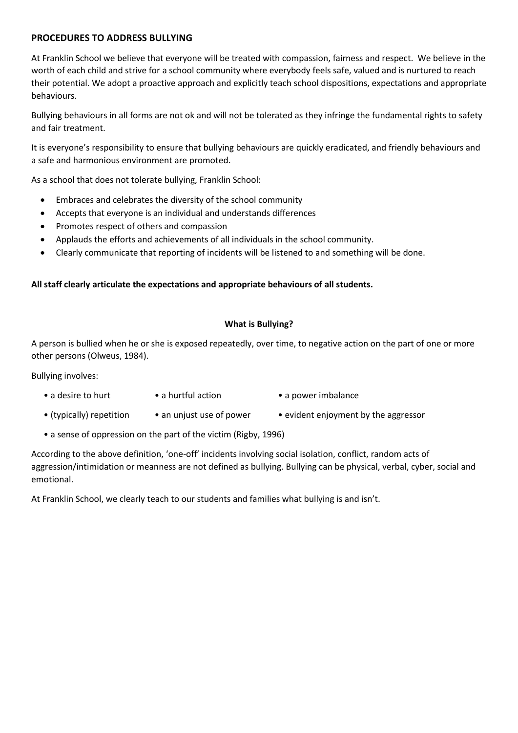#### **PROCEDURES TO ADDRESS BULLYING**

At Franklin School we believe that everyone will be treated with compassion, fairness and respect. We believe in the worth of each child and strive for a school community where everybody feels safe, valued and is nurtured to reach their potential. We adopt a proactive approach and explicitly teach school dispositions, expectations and appropriate behaviours.

Bullying behaviours in all forms are not ok and will not be tolerated as they infringe the fundamental rights to safety and fair treatment.

It is everyone's responsibility to ensure that bullying behaviours are quickly eradicated, and friendly behaviours and a safe and harmonious environment are promoted.

As a school that does not tolerate bullying, Franklin School:

- Embraces and celebrates the diversity of the school community
- Accepts that everyone is an individual and understands differences
- Promotes respect of others and compassion
- Applauds the efforts and achievements of all individuals in the school community.
- Clearly communicate that reporting of incidents will be listened to and something will be done.

#### **All staff clearly articulate the expectations and appropriate behaviours of all students.**

#### **What is Bullying?**

A person is bullied when he or she is exposed repeatedly, over time, to negative action on the part of one or more other persons (Olweus, 1984).

Bullying involves:

- a desire to hurt a hurtful action a power imbalance
- (typically) repetition an unjust use of power evident enjoyment by the aggressor
- a sense of oppression on the part of the victim (Rigby, 1996)

According to the above definition, 'one-off' incidents involving social isolation, conflict, random acts of aggression/intimidation or meanness are not defined as bullying. Bullying can be physical, verbal, cyber, social and emotional.

At Franklin School, we clearly teach to our students and families what bullying is and isn't.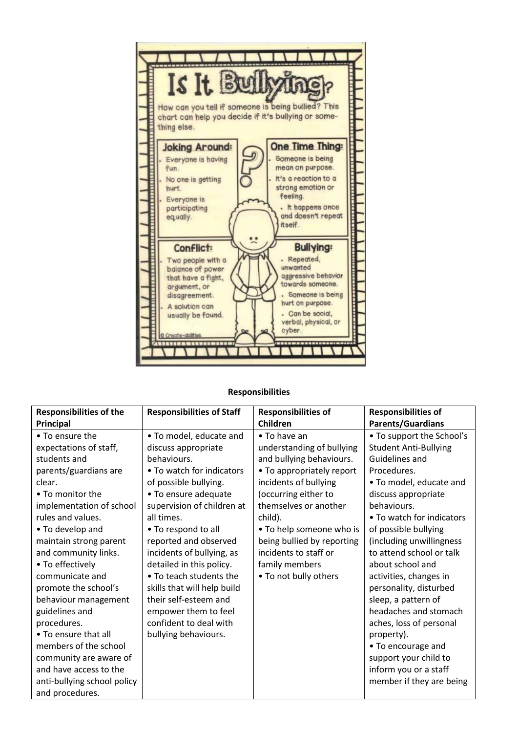

#### **Responsibilities**

| <b>Responsibilities of the</b> | <b>Responsibilities of Staff</b> | <b>Responsibilities of</b> | <b>Responsibilities of</b>   |
|--------------------------------|----------------------------------|----------------------------|------------------------------|
| Principal                      |                                  | Children                   | <b>Parents/Guardians</b>     |
| • To ensure the                | • To model, educate and          | • To have an               | • To support the School's    |
| expectations of staff,         | discuss appropriate              | understanding of bullying  | <b>Student Anti-Bullying</b> |
| students and                   | behaviours.                      | and bullying behaviours.   | Guidelines and               |
| parents/guardians are          | • To watch for indicators        | • To appropriately report  | Procedures.                  |
| clear.                         | of possible bullying.            | incidents of bullying      | • To model, educate and      |
| • To monitor the               | • To ensure adequate             | (occurring either to       | discuss appropriate          |
| implementation of school       | supervision of children at       | themselves or another      | behaviours.                  |
| rules and values.              | all times.                       | child).                    | • To watch for indicators    |
| • To develop and               | • To respond to all              | • To help someone who is   | of possible bullying         |
| maintain strong parent         | reported and observed            | being bullied by reporting | (including unwillingness     |
| and community links.           | incidents of bullying, as        | incidents to staff or      | to attend school or talk     |
| • To effectively               | detailed in this policy.         | family members             | about school and             |
| communicate and                | • To teach students the          | • To not bully others      | activities, changes in       |
| promote the school's           | skills that will help build      |                            | personality, disturbed       |
| behaviour management           | their self-esteem and            |                            | sleep, a pattern of          |
| guidelines and                 | empower them to feel             |                            | headaches and stomach        |
| procedures.                    | confident to deal with           |                            | aches, loss of personal      |
| • To ensure that all           | bullying behaviours.             |                            | property).                   |
| members of the school          |                                  |                            | • To encourage and           |
| community are aware of         |                                  |                            | support your child to        |
| and have access to the         |                                  |                            | inform you or a staff        |
| anti-bullying school policy    |                                  |                            | member if they are being     |
| and procedures.                |                                  |                            |                              |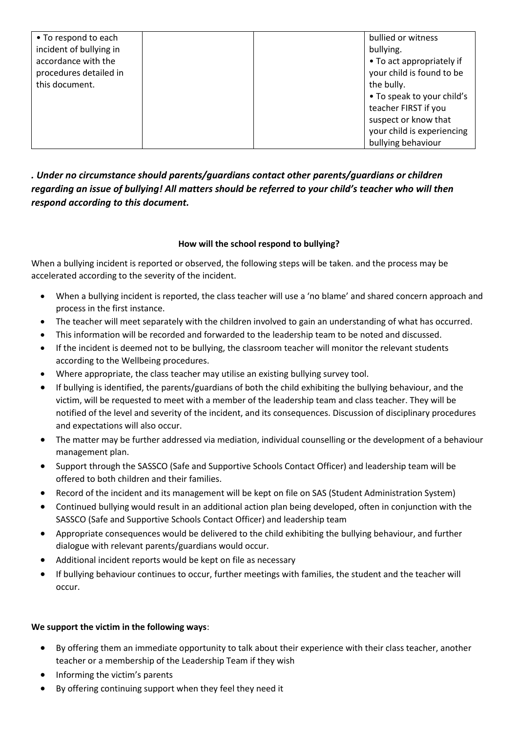| • To respond to each    | bullied or witness         |
|-------------------------|----------------------------|
| incident of bullying in | bullying.                  |
| accordance with the     | • To act appropriately if  |
| procedures detailed in  | your child is found to be  |
| this document.          | the bully.                 |
|                         | • To speak to your child's |
|                         | teacher FIRST if you       |
|                         | suspect or know that       |
|                         | your child is experiencing |
|                         | bullying behaviour         |

## *. Under no circumstance should parents/guardians contact other parents/guardians or children regarding an issue of bullying! All matters should be referred to your child's teacher who will then respond according to this document.*

#### **How will the school respond to bullying?**

When a bullying incident is reported or observed, the following steps will be taken. and the process may be accelerated according to the severity of the incident.

- When a bullying incident is reported, the class teacher will use a 'no blame' and shared concern approach and process in the first instance.
- The teacher will meet separately with the children involved to gain an understanding of what has occurred.
- This information will be recorded and forwarded to the leadership team to be noted and discussed.
- If the incident is deemed not to be bullying, the classroom teacher will monitor the relevant students according to the Wellbeing procedures.
- Where appropriate, the class teacher may utilise an existing bullying survey tool.
- If bullying is identified, the parents/guardians of both the child exhibiting the bullying behaviour, and the victim, will be requested to meet with a member of the leadership team and class teacher. They will be notified of the level and severity of the incident, and its consequences. Discussion of disciplinary procedures and expectations will also occur.
- The matter may be further addressed via mediation, individual counselling or the development of a behaviour management plan.
- Support through the SASSCO (Safe and Supportive Schools Contact Officer) and leadership team will be offered to both children and their families.
- Record of the incident and its management will be kept on file on SAS (Student Administration System)
- Continued bullying would result in an additional action plan being developed, often in conjunction with the SASSCO (Safe and Supportive Schools Contact Officer) and leadership team
- Appropriate consequences would be delivered to the child exhibiting the bullying behaviour, and further dialogue with relevant parents/guardians would occur.
- Additional incident reports would be kept on file as necessary
- If bullying behaviour continues to occur, further meetings with families, the student and the teacher will occur.

#### **We support the victim in the following ways**:

- By offering them an immediate opportunity to talk about their experience with their class teacher, another teacher or a membership of the Leadership Team if they wish
- Informing the victim's parents
- By offering continuing support when they feel they need it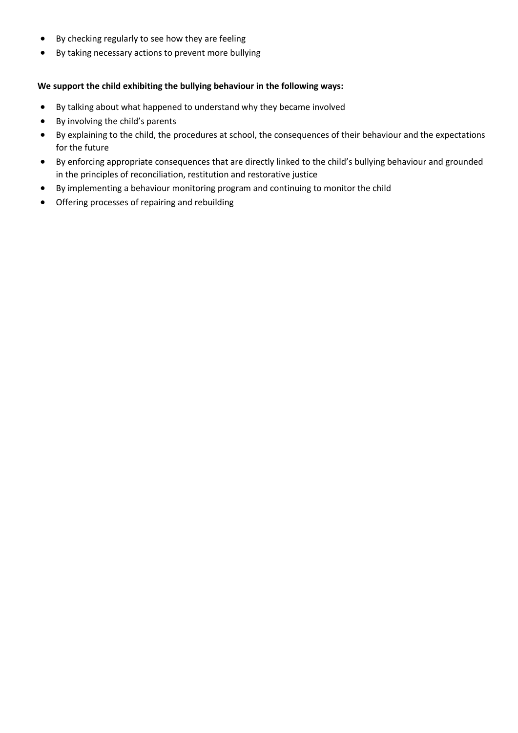- By checking regularly to see how they are feeling
- By taking necessary actions to prevent more bullying

#### **We support the child exhibiting the bullying behaviour in the following ways:**

- By talking about what happened to understand why they became involved
- By involving the child's parents
- By explaining to the child, the procedures at school, the consequences of their behaviour and the expectations for the future
- By enforcing appropriate consequences that are directly linked to the child's bullying behaviour and grounded in the principles of reconciliation, restitution and restorative justice
- By implementing a behaviour monitoring program and continuing to monitor the child
- Offering processes of repairing and rebuilding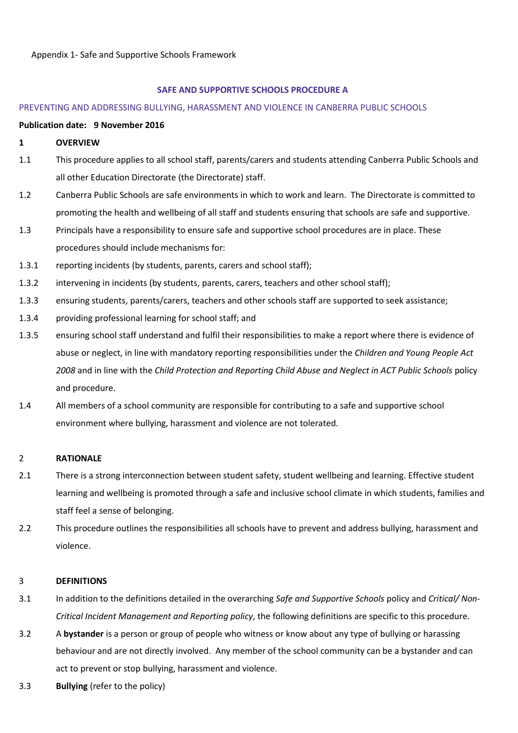#### **SAFE AND SUPPORTIVE SCHOOLS PROCEDURE A**

#### PREVENTING AND ADDRESSING BULLYING, HARASSMENT AND VIOLENCE IN CANBERRA PUBLIC SCHOOLS

#### **Publication date: 9 November 2016**

#### **1 OVERVIEW**

- 1.1 This procedure applies to all school staff, parents/carers and students attending Canberra Public Schools and all other Education Directorate (the Directorate) staff.
- 1.2 Canberra Public Schools are safe environments in which to work and learn. The Directorate is committed to promoting the health and wellbeing of all staff and students ensuring that schools are safe and supportive.
- 1.3 Principals have a responsibility to ensure safe and supportive school procedures are in place. These procedures should include mechanisms for:
- 1.3.1 reporting incidents (by students, parents, carers and school staff);
- 1.3.2 intervening in incidents (by students, parents, carers, teachers and other school staff);
- 1.3.3 ensuring students, parents/carers, teachers and other schools staff are supported to seek assistance;
- 1.3.4 providing professional learning for school staff; and
- 1.3.5 ensuring school staff understand and fulfil their responsibilities to make a report where there is evidence of abuse or neglect, in line with mandatory reporting responsibilities under the *Children and Young People Act 2008* and in line with the *Child Protection and Reporting Child Abuse and Neglect in ACT Public Schools* policy and procedure.
- 1.4 All members of a school community are responsible for contributing to a safe and supportive school environment where bullying, harassment and violence are not tolerated.

#### 2 **RATIONALE**

- 2.1 There is a strong interconnection between student safety, student wellbeing and learning. Effective student learning and wellbeing is promoted through a safe and inclusive school climate in which students, families and staff feel a sense of belonging.
- 2.2 This procedure outlines the responsibilities all schools have to prevent and address bullying, harassment and violence.

#### 3 **DEFINITIONS**

- 3.1 In addition to the definitions detailed in the overarching *Safe and Supportive Schools* policy and *Critical/ Non-Critical Incident Management and Reporting policy*, the following definitions are specific to this procedure.
- 3.2 A **bystander** is a person or group of people who witness or know about any type of bullying or harassing behaviour and are not directly involved. Any member of the school community can be a bystander and can act to prevent or stop bullying, harassment and violence.
- 3.3 **Bullying** (refer to the policy)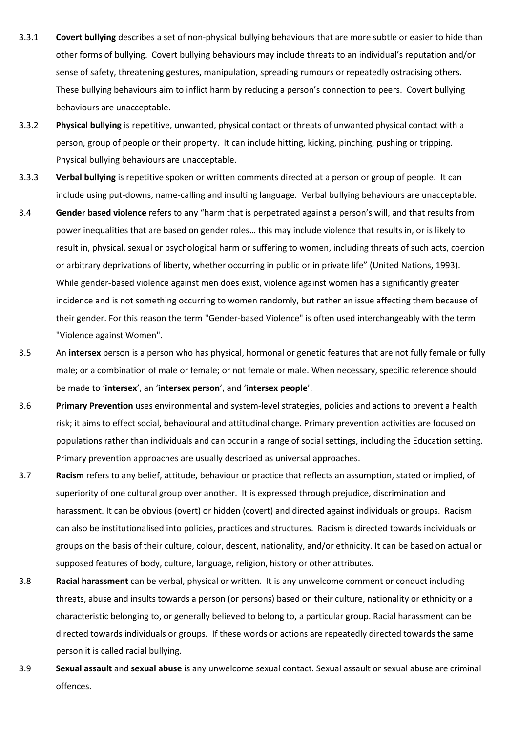- 3.3.1 **Covert bullying** describes a set of non-physical bullying behaviours that are more subtle or easier to hide than other forms of bullying. Covert bullying behaviours may include threats to an individual's reputation and/or sense of safety, threatening gestures, manipulation, spreading rumours or repeatedly ostracising others. These bullying behaviours aim to inflict harm by reducing a person's connection to peers. Covert bullying behaviours are unacceptable.
- 3.3.2 **Physical bullying** is repetitive, unwanted, physical contact or threats of unwanted physical contact with a person, group of people or their property. It can include hitting, kicking, pinching, pushing or tripping. Physical bullying behaviours are unacceptable.
- 3.3.3 **Verbal bullying** is repetitive spoken or written comments directed at a person or group of people. It can include using put-downs, name-calling and insulting language. Verbal bullying behaviours are unacceptable.
- 3.4 **Gender based violence** refers to any "harm that is perpetrated against a person's will, and that results from power inequalities that are based on gender roles… this may include violence that results in, or is likely to result in, physical, sexual or psychological harm or suffering to women, including threats of such acts, coercion or arbitrary deprivations of liberty, whether occurring in public or in private life" (United Nations, 1993). While gender-based violence against men does exist, violence against women has a significantly greater incidence and is not something occurring to women randomly, but rather an issue affecting them because of their gender. For this reason the term "Gender-based Violence" is often used interchangeably with the term "Violence against Women".
- 3.5 An **intersex** person is a person who has physical, hormonal or genetic features that are not fully female or fully male; or a combination of male or female; or not female or male. When necessary, specific reference should be made to '**intersex**', an '**intersex person**', and '**intersex people**'.
- 3.6 **Primary Prevention** uses environmental and system-level strategies, policies and actions to prevent a health risk; it aims to effect social, behavioural and attitudinal change. Primary prevention activities are focused on populations rather than individuals and can occur in a range of social settings, including the Education setting. Primary prevention approaches are usually described as universal approaches.
- 3.7 **Racism** refers to any belief, attitude, behaviour or practice that reflects an assumption, stated or implied, of superiority of one cultural group over another. It is expressed through prejudice, discrimination and harassment. It can be obvious (overt) or hidden (covert) and directed against individuals or groups. Racism can also be institutionalised into policies, practices and structures. Racism is directed towards individuals or groups on the basis of their culture, colour, descent, nationality, and/or ethnicity. It can be based on actual or supposed features of body, culture, language, religion, history or other attributes.
- 3.8 **Racial harassment** can be verbal, physical or written. It is any unwelcome comment or conduct including threats, abuse and insults towards a person (or persons) based on their culture, nationality or ethnicity or a characteristic belonging to, or generally believed to belong to, a particular group. Racial harassment can be directed towards individuals or groups. If these words or actions are repeatedly directed towards the same person it is called racial bullying.
- 3.9 **Sexual assault** and **sexual abuse** is any unwelcome sexual contact. Sexual assault or sexual abuse are criminal offences.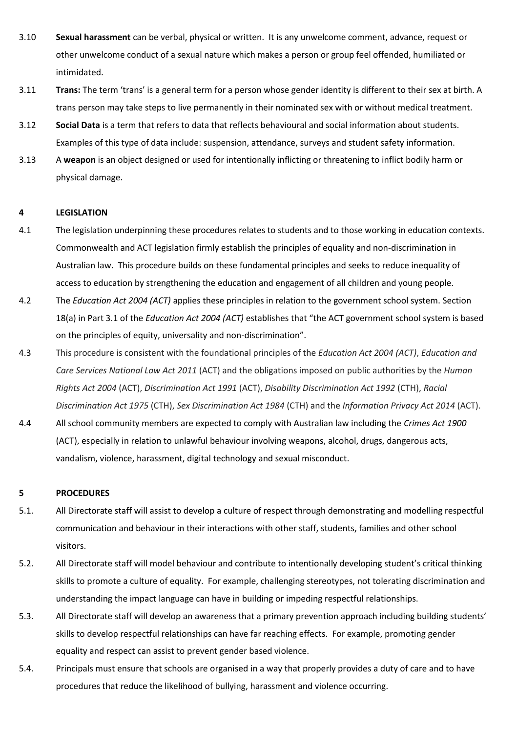- 3.10 **Sexual harassment** can be verbal, physical or written. It is any unwelcome comment, advance, request or other unwelcome conduct of a sexual nature which makes a person or group feel offended, humiliated or intimidated.
- 3.11 **Trans:** The term 'trans' is a general term for a person whose gender identity is different to their sex at birth. A trans person may take steps to live permanently in their nominated sex with or without medical treatment.
- 3.12 **Social Data** is a term that refers to data that reflects behavioural and social information about students. Examples of this type of data include: suspension, attendance, surveys and student safety information.
- 3.13 A **weapon** is an object designed or used for intentionally inflicting or threatening to inflict bodily harm or physical damage.

#### **4 LEGISLATION**

- 4.1 The legislation underpinning these procedures relates to students and to those working in education contexts. Commonwealth and ACT legislation firmly establish the principles of equality and non-discrimination in Australian law. This procedure builds on these fundamental principles and seeks to reduce inequality of access to education by strengthening the education and engagement of all children and young people.
- 4.2 The *Education Act 2004 (ACT)* applies these principles in relation to the government school system. Section 18(a) in Part 3.1 of the *Education Act 2004 (ACT)* establishes that "the ACT government school system is based on the principles of equity, universality and non-discrimination".
- 4.3 This procedure is consistent with the foundational principles of the *Education Act 2004 (ACT)*, *Education and Care Services National Law Act 2011* (ACT) and the obligations imposed on public authorities by the *Human Rights Act 2004* (ACT), *Discrimination Act 1991* (ACT), *Disability Discrimination Act 1992* (CTH), *Racial Discrimination Act 1975* (CTH), *Sex Discrimination Act 1984* (CTH) and the *Information Privacy Act 2014* (ACT).
- 4.4 All school community members are expected to comply with Australian law including the *Crimes Act 1900* (ACT), especially in relation to unlawful behaviour involving weapons, alcohol, drugs, dangerous acts, vandalism, violence, harassment, digital technology and sexual misconduct.

#### **5 PROCEDURES**

- 5.1. All Directorate staff will assist to develop a culture of respect through demonstrating and modelling respectful communication and behaviour in their interactions with other staff, students, families and other school visitors.
- 5.2. All Directorate staff will model behaviour and contribute to intentionally developing student's critical thinking skills to promote a culture of equality. For example, challenging stereotypes, not tolerating discrimination and understanding the impact language can have in building or impeding respectful relationships.
- 5.3. All Directorate staff will develop an awareness that a primary prevention approach including building students' skills to develop respectful relationships can have far reaching effects. For example, promoting gender equality and respect can assist to prevent gender based violence.
- 5.4. Principals must ensure that schools are organised in a way that properly provides a duty of care and to have procedures that reduce the likelihood of bullying, harassment and violence occurring.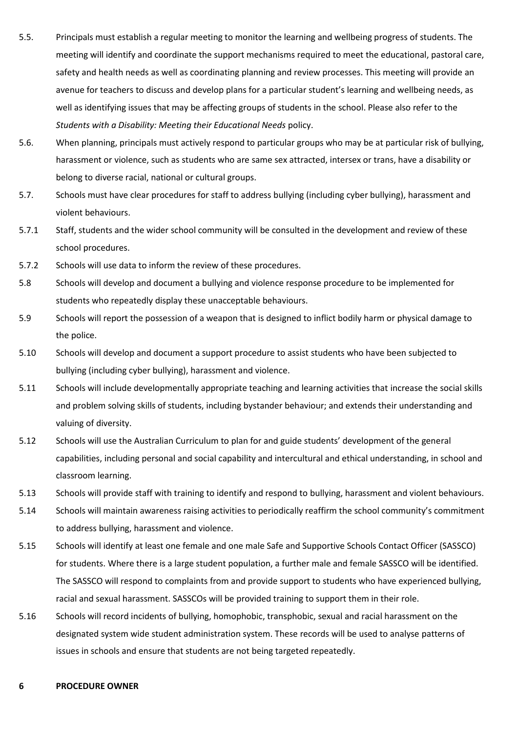- 5.5. Principals must establish a regular meeting to monitor the learning and wellbeing progress of students. The meeting will identify and coordinate the support mechanisms required to meet the educational, pastoral care, safety and health needs as well as coordinating planning and review processes. This meeting will provide an avenue for teachers to discuss and develop plans for a particular student's learning and wellbeing needs, as well as identifying issues that may be affecting groups of students in the school. Please also refer to the *Students with a Disability: Meeting their Educational Needs* policy.
- 5.6. When planning, principals must actively respond to particular groups who may be at particular risk of bullying, harassment or violence, such as students who are same sex attracted, intersex or trans, have a disability or belong to diverse racial, national or cultural groups.
- 5.7. Schools must have clear procedures for staff to address bullying (including cyber bullying), harassment and violent behaviours.
- 5.7.1 Staff, students and the wider school community will be consulted in the development and review of these school procedures.
- 5.7.2 Schools will use data to inform the review of these procedures.
- 5.8 Schools will develop and document a bullying and violence response procedure to be implemented for students who repeatedly display these unacceptable behaviours.
- 5.9 Schools will report the possession of a weapon that is designed to inflict bodily harm or physical damage to the police.
- 5.10 Schools will develop and document a support procedure to assist students who have been subjected to bullying (including cyber bullying), harassment and violence.
- 5.11 Schools will include developmentally appropriate teaching and learning activities that increase the social skills and problem solving skills of students, including bystander behaviour; and extends their understanding and valuing of diversity.
- 5.12 Schools will use the Australian Curriculum to plan for and guide students' development of the general capabilities, including personal and social capability and intercultural and ethical understanding, in school and classroom learning.
- 5.13 Schools will provide staff with training to identify and respond to bullying, harassment and violent behaviours.
- 5.14 Schools will maintain awareness raising activities to periodically reaffirm the school community's commitment to address bullying, harassment and violence.
- 5.15 Schools will identify at least one female and one male Safe and Supportive Schools Contact Officer (SASSCO) for students. Where there is a large student population, a further male and female SASSCO will be identified. The SASSCO will respond to complaints from and provide support to students who have experienced bullying, racial and sexual harassment. SASSCOs will be provided training to support them in their role.
- 5.16 Schools will record incidents of bullying, homophobic, transphobic, sexual and racial harassment on the designated system wide student administration system. These records will be used to analyse patterns of issues in schools and ensure that students are not being targeted repeatedly.

#### **6 PROCEDURE OWNER**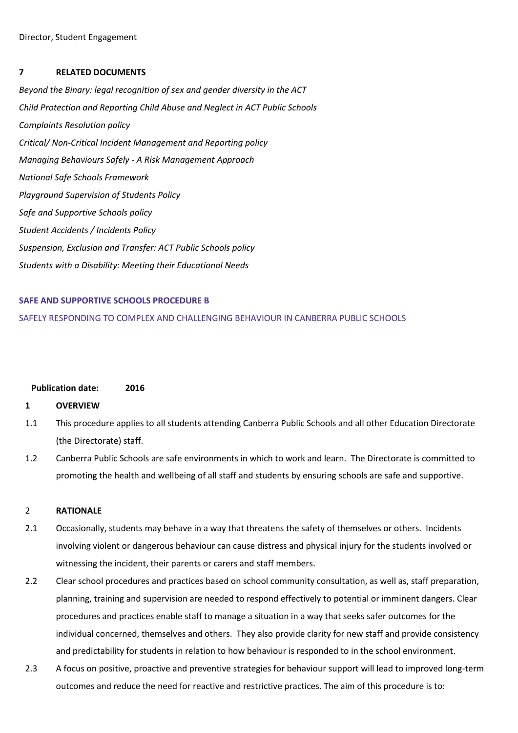#### **7 RELATED DOCUMENTS**

*Beyond the Binary: legal recognition of sex and gender diversity in the ACT Child Protection and Reporting Child Abuse and Neglect in ACT Public Schools Complaints Resolution policy Critical/ Non-Critical Incident Management and Reporting policy Managing Behaviours Safely - A Risk Management Approach National Safe Schools Framework Playground Supervision of Students Policy Safe and Supportive Schools policy Student Accidents / Incidents Policy Suspension, Exclusion and Transfer: ACT Public Schools policy Students with a Disability: Meeting their Educational Needs*

#### **SAFE AND SUPPORTIVE SCHOOLS PROCEDURE B**

#### SAFELY RESPONDING TO COMPLEX AND CHALLENGING BEHAVIOUR IN CANBERRA PUBLIC SCHOOLS

#### **Publication date: 2016**

#### **1 OVERVIEW**

- 1.1 This procedure applies to all students attending Canberra Public Schools and all other Education Directorate (the Directorate) staff.
- 1.2 Canberra Public Schools are safe environments in which to work and learn. The Directorate is committed to promoting the health and wellbeing of all staff and students by ensuring schools are safe and supportive.

#### 2 **RATIONALE**

- 2.1 Occasionally, students may behave in a way that threatens the safety of themselves or others. Incidents involving violent or dangerous behaviour can cause distress and physical injury for the students involved or witnessing the incident, their parents or carers and staff members.
- 2.2 Clear school procedures and practices based on school community consultation, as well as, staff preparation, planning, training and supervision are needed to respond effectively to potential or imminent dangers. Clear procedures and practices enable staff to manage a situation in a way that seeks safer outcomes for the individual concerned, themselves and others. They also provide clarity for new staff and provide consistency and predictability for students in relation to how behaviour is responded to in the school environment.
- 2.3 A focus on positive, proactive and preventive strategies for behaviour support will lead to improved long-term outcomes and reduce the need for reactive and restrictive practices. The aim of this procedure is to: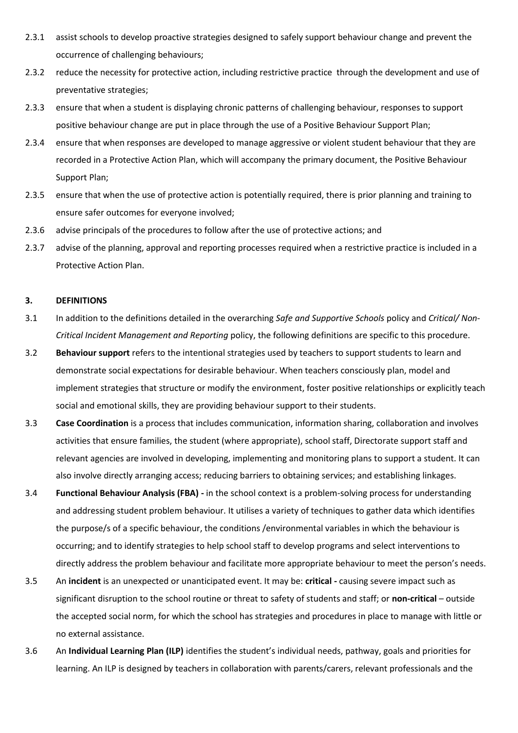- 2.3.1 assist schools to develop proactive strategies designed to safely support behaviour change and prevent the occurrence of challenging behaviours;
- 2.3.2 reduce the necessity for protective action, including restrictive practice through the development and use of preventative strategies;
- 2.3.3 ensure that when a student is displaying chronic patterns of challenging behaviour, responses to support positive behaviour change are put in place through the use of a Positive Behaviour Support Plan;
- 2.3.4 ensure that when responses are developed to manage aggressive or violent student behaviour that they are recorded in a Protective Action Plan, which will accompany the primary document, the Positive Behaviour Support Plan;
- 2.3.5 ensure that when the use of protective action is potentially required, there is prior planning and training to ensure safer outcomes for everyone involved;
- 2.3.6 advise principals of the procedures to follow after the use of protective actions; and
- 2.3.7 advise of the planning, approval and reporting processes required when a restrictive practice is included in a Protective Action Plan.

#### **3. DEFINITIONS**

- 3.1 In addition to the definitions detailed in the overarching *Safe and Supportive Schools* policy and *Critical/ Non-Critical Incident Management and Reporting* policy, the following definitions are specific to this procedure.
- 3.2 **Behaviour support** refers to the intentional strategies used by teachers to support students to learn and demonstrate social expectations for desirable behaviour. When teachers consciously plan, model and implement strategies that structure or modify the environment, foster positive relationships or explicitly teach social and emotional skills, they are providing behaviour support to their students.
- 3.3 **Case Coordination** is a process that includes communication, information sharing, collaboration and involves activities that ensure families, the student (where appropriate), school staff, Directorate support staff and relevant agencies are involved in developing, implementing and monitoring plans to support a student. It can also involve directly arranging access; reducing barriers to obtaining services; and establishing linkages.
- 3.4 **Functional Behaviour Analysis (FBA) -** in the school context is a problem-solving process for understanding and addressing student problem behaviour. It utilises a variety of techniques to gather data which identifies the purpose/s of a specific behaviour, the conditions /environmental variables in which the behaviour is occurring; and to identify strategies to help school staff to develop programs and select interventions to directly address the problem behaviour and facilitate more appropriate behaviour to meet the person's needs.
- 3.5 An **incident** is an unexpected or unanticipated event. It may be: **critical -** causing severe impact such as significant disruption to the school routine or threat to safety of students and staff; or **non-critical** – outside the accepted social norm, for which the school has strategies and procedures in place to manage with little or no external assistance.
- 3.6 An **Individual Learning Plan (ILP)** identifies the student's individual needs, pathway, goals and priorities for learning. An ILP is designed by teachers in collaboration with parents/carers, relevant professionals and the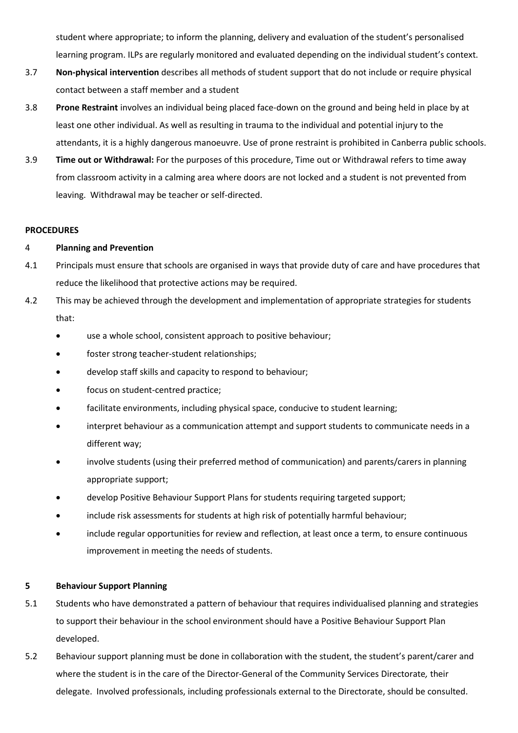student where appropriate; to inform the planning, delivery and evaluation of the student's personalised learning program. ILPs are regularly monitored and evaluated depending on the individual student's context.

- 3.7 **Non-physical intervention** describes all methods of student support that do not include or require physical contact between a staff member and a student
- 3.8 **Prone Restraint** involves an individual being placed face-down on the ground and being held in place by at least one other individual. As well as resulting in trauma to the individual and potential injury to the attendants, it is a highly dangerous manoeuvre. Use of prone restraint is prohibited in Canberra public schools.
- 3.9 **Time out or Withdrawal:** For the purposes of this procedure, Time out or Withdrawal refers to time away from classroom activity in a calming area where doors are not locked and a student is not prevented from leaving. Withdrawal may be teacher or self-directed.

#### **PROCEDURES**

#### 4 **Planning and Prevention**

- 4.1 Principals must ensure that schools are organised in ways that provide duty of care and have procedures that reduce the likelihood that protective actions may be required.
- 4.2 This may be achieved through the development and implementation of appropriate strategies for students that:
	- use a whole school, consistent approach to positive behaviour;
	- foster strong teacher-student relationships;
	- develop staff skills and capacity to respond to behaviour;
	- focus on student-centred practice;
	- facilitate environments, including physical space, conducive to student learning;
	- interpret behaviour as a communication attempt and support students to communicate needs in a different way;
	- involve students (using their preferred method of communication) and parents/carers in planning appropriate support;
	- develop Positive Behaviour Support Plans for students requiring targeted support;
	- include risk assessments for students at high risk of potentially harmful behaviour;
	- include regular opportunities for review and reflection, at least once a term, to ensure continuous improvement in meeting the needs of students.

#### **5 Behaviour Support Planning**

- 5.1 Students who have demonstrated a pattern of behaviour that requires individualised planning and strategies to support their behaviour in the school environment should have a Positive Behaviour Support Plan developed.
- 5.2 Behaviour support planning must be done in collaboration with the student, the student's parent/carer and where the student is in the care of the Director-General of the Community Services Directorate*,* their delegate. Involved professionals, including professionals external to the Directorate, should be consulted.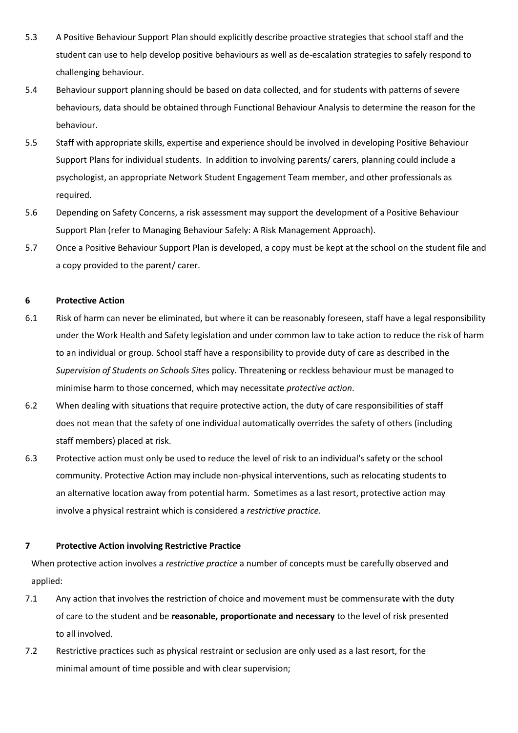- 5.3 A Positive Behaviour Support Plan should explicitly describe proactive strategies that school staff and the student can use to help develop positive behaviours as well as de-escalation strategies to safely respond to challenging behaviour.
- 5.4 Behaviour support planning should be based on data collected, and for students with patterns of severe behaviours, data should be obtained through Functional Behaviour Analysis to determine the reason for the behaviour.
- 5.5 Staff with appropriate skills, expertise and experience should be involved in developing Positive Behaviour Support Plans for individual students. In addition to involving parents/ carers, planning could include a psychologist, an appropriate Network Student Engagement Team member, and other professionals as required.
- 5.6 Depending on Safety Concerns, a risk assessment may support the development of a Positive Behaviour Support Plan (refer to Managing Behaviour Safely: A Risk Management Approach).
- 5.7 Once a Positive Behaviour Support Plan is developed, a copy must be kept at the school on the student file and a copy provided to the parent/ carer.

#### **6 Protective Action**

- 6.1 Risk of harm can never be eliminated, but where it can be reasonably foreseen, staff have a legal responsibility under the Work Health and Safety legislation and under common law to take action to reduce the risk of harm to an individual or group. School staff have a responsibility to provide duty of care as described in the *Supervision of Students on Schools Sites* policy. Threatening or reckless behaviour must be managed to minimise harm to those concerned, which may necessitate *protective action*.
- 6.2 When dealing with situations that require protective action, the duty of care responsibilities of staff does not mean that the safety of one individual automatically overrides the safety of others (including staff members) placed at risk.
- 6.3 Protective action must only be used to reduce the level of risk to an individual's safety or the school community. Protective Action may include non-physical interventions, such as relocating students to an alternative location away from potential harm. Sometimes as a last resort, protective action may involve a physical restraint which is considered a *restrictive practice.*

#### **7 Protective Action involving Restrictive Practice**

When protective action involves a *restrictive practice* a number of concepts must be carefully observed and applied:

- 7.1 Any action that involves the restriction of choice and movement must be commensurate with the duty of care to the student and be **reasonable, proportionate and necessary** to the level of risk presented to all involved.
- 7.2 Restrictive practices such as physical restraint or seclusion are only used as a last resort, for the minimal amount of time possible and with clear supervision;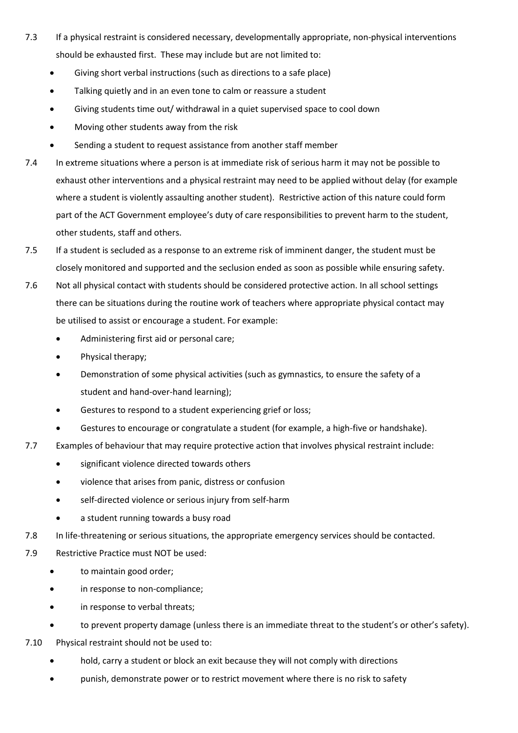- 7.3 If a physical restraint is considered necessary, developmentally appropriate, non-physical interventions should be exhausted first. These may include but are not limited to:
	- Giving short verbal instructions (such as directions to a safe place)
	- Talking quietly and in an even tone to calm or reassure a student
	- Giving students time out/ withdrawal in a quiet supervised space to cool down
	- Moving other students away from the risk
	- Sending a student to request assistance from another staff member
- 7.4 In extreme situations where a person is at immediate risk of serious harm it may not be possible to exhaust other interventions and a physical restraint may need to be applied without delay (for example where a student is violently assaulting another student). Restrictive action of this nature could form part of the ACT Government employee's duty of care responsibilities to prevent harm to the student, other students, staff and others.
- 7.5 If a student is secluded as a response to an extreme risk of imminent danger, the student must be closely monitored and supported and the seclusion ended as soon as possible while ensuring safety.
- 7.6 Not all physical contact with students should be considered protective action. In all school settings there can be situations during the routine work of teachers where appropriate physical contact may be utilised to assist or encourage a student. For example:
	- Administering first aid or personal care;
	- Physical therapy;
	- Demonstration of some physical activities (such as gymnastics, to ensure the safety of a student and hand-over-hand learning);
	- Gestures to respond to a student experiencing grief or loss;
	- Gestures to encourage or congratulate a student (for example, a high-five or handshake).
- 7.7 Examples of behaviour that may require protective action that involves physical restraint include:
	- significant violence directed towards others
	- violence that arises from panic, distress or confusion
	- self-directed violence or serious injury from self-harm
	- a student running towards a busy road
- 7.8 In life-threatening or serious situations, the appropriate emergency services should be contacted.
- 7.9 Restrictive Practice must NOT be used:
	- to maintain good order;
	- in response to non-compliance;
	- in response to verbal threats;
	- to prevent property damage (unless there is an immediate threat to the student's or other's safety).
- 7.10 Physical restraint should not be used to:
	- hold, carry a student or block an exit because they will not comply with directions
	- punish, demonstrate power or to restrict movement where there is no risk to safety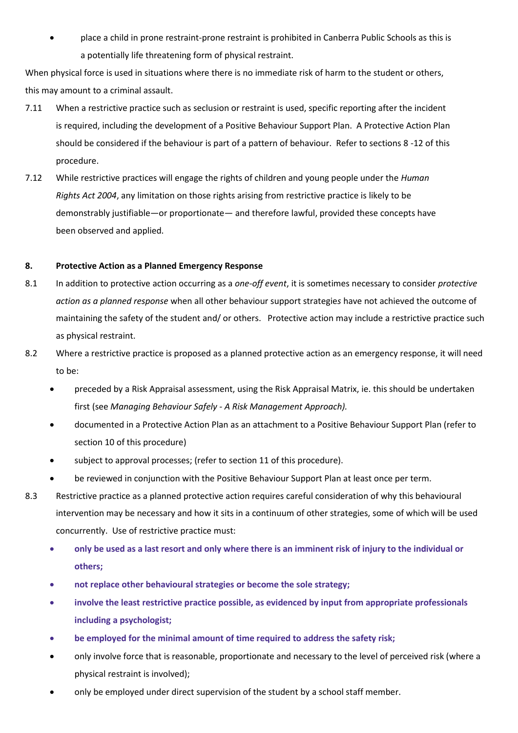• place a child in prone restraint-prone restraint is prohibited in Canberra Public Schools as this is a potentially life threatening form of physical restraint.

When physical force is used in situations where there is no immediate risk of harm to the student or others, this may amount to a criminal assault.

- 7.11 When a restrictive practice such as seclusion or restraint is used, specific reporting after the incident is required, including the development of a Positive Behaviour Support Plan. A Protective Action Plan should be considered if the behaviour is part of a pattern of behaviour. Refer to sections 8 -12 of this procedure.
- 7.12 While restrictive practices will engage the rights of children and young people under the *Human Rights Act 2004*, any limitation on those rights arising from restrictive practice is likely to be demonstrably justifiable—or proportionate— and therefore lawful, provided these concepts have been observed and applied.

#### **8. Protective Action as a Planned Emergency Response**

- 8.1 In addition to protective action occurring as a *one-off event*, it is sometimes necessary to consider *protective action as a planned response* when all other behaviour support strategie*s* have not achieved the outcome of maintaining the safety of the student and/ or others. Protective action may include a restrictive practice such as physical restraint.
- 8.2 Where a restrictive practice is proposed as a planned protective action as an emergency response, it will need to be:
	- preceded by a Risk Appraisal assessment, using the Risk Appraisal Matrix, ie. this should be undertaken first (see *Managing Behaviour Safely - A Risk Management Approach).*
	- documented in a Protective Action Plan as an attachment to a Positive Behaviour Support Plan (refer to section 10 of this procedure)
	- subject to approval processes; (refer to section 11 of this procedure).
	- be reviewed in conjunction with the Positive Behaviour Support Plan at least once per term.
- 8.3 Restrictive practice as a planned protective action requires careful consideration of why this behavioural intervention may be necessary and how it sits in a continuum of other strategies, some of which will be used concurrently. Use of restrictive practice must:
	- **only be used as a last resort and only where there is an imminent risk of injury to the individual or others;**
	- **not replace other behavioural strategies or become the sole strategy;**
	- **involve the least restrictive practice possible, as evidenced by input from appropriate professionals including a psychologist;**
	- **be employed for the minimal amount of time required to address the safety risk;**
	- only involve force that is reasonable, proportionate and necessary to the level of perceived risk (where a physical restraint is involved);
	- only be employed under direct supervision of the student by a school staff member.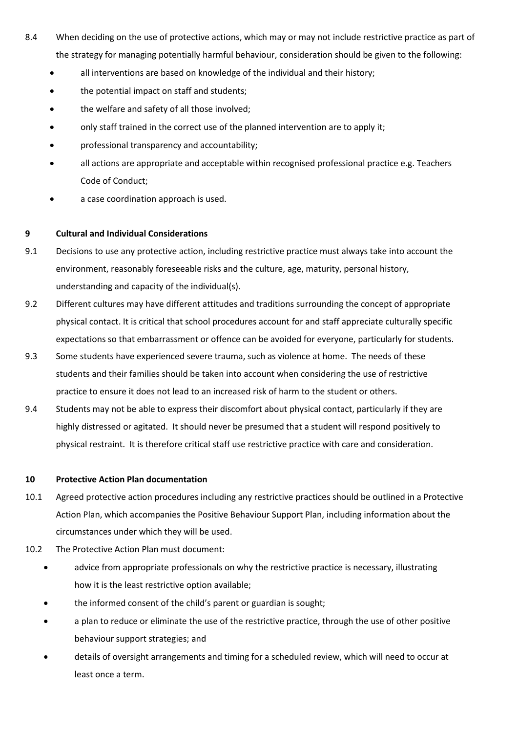- 8.4 When deciding on the use of protective actions, which may or may not include restrictive practice as part of the strategy for managing potentially harmful behaviour, consideration should be given to the following:
	- all interventions are based on knowledge of the individual and their history;
	- the potential impact on staff and students;
	- the welfare and safety of all those involved;
	- only staff trained in the correct use of the planned intervention are to apply it;
	- professional transparency and accountability;
	- all actions are appropriate and acceptable within recognised professional practice e.g. Teachers Code of Conduct;
	- a case coordination approach is used.

#### **9 Cultural and Individual Considerations**

- 9.1 Decisions to use any protective action, including restrictive practice must always take into account the environment, reasonably foreseeable risks and the culture, age, maturity, personal history, understanding and capacity of the individual(s).
- 9.2 Different cultures may have different attitudes and traditions surrounding the concept of appropriate physical contact. It is critical that school procedures account for and staff appreciate culturally specific expectations so that embarrassment or offence can be avoided for everyone, particularly for students.
- 9.3 Some students have experienced severe trauma, such as violence at home. The needs of these students and their families should be taken into account when considering the use of restrictive practice to ensure it does not lead to an increased risk of harm to the student or others.
- 9.4 Students may not be able to express their discomfort about physical contact, particularly if they are highly distressed or agitated. It should never be presumed that a student will respond positively to physical restraint. It is therefore critical staff use restrictive practice with care and consideration.

#### **10 Protective Action Plan documentation**

- 10.1 Agreed protective action procedures including any restrictive practices should be outlined in a Protective Action Plan, which accompanies the Positive Behaviour Support Plan, including information about the circumstances under which they will be used.
- 10.2 The Protective Action Plan must document:
	- advice from appropriate professionals on why the restrictive practice is necessary, illustrating how it is the least restrictive option available;
	- the informed consent of the child's parent or guardian is sought;
	- a plan to reduce or eliminate the use of the restrictive practice, through the use of other positive behaviour support strategies; and
	- details of oversight arrangements and timing for a scheduled review, which will need to occur at least once a term.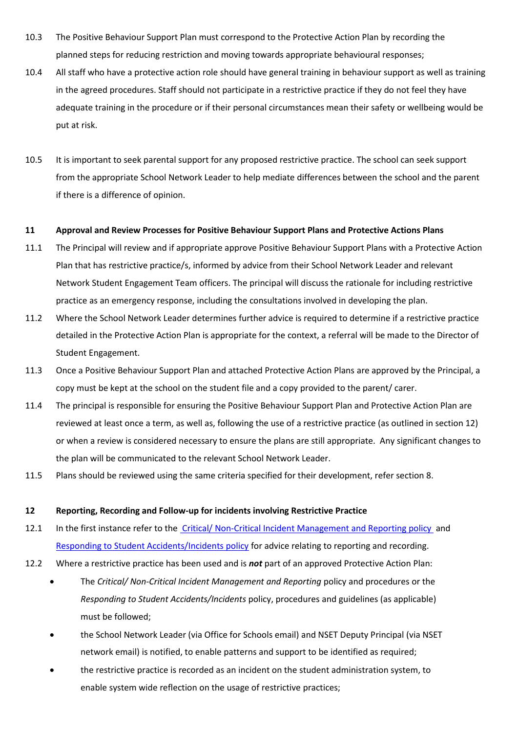- 10.3 The Positive Behaviour Support Plan must correspond to the Protective Action Plan by recording the planned steps for reducing restriction and moving towards appropriate behavioural responses;
- 10.4 All staff who have a protective action role should have general training in behaviour support as well as training in the agreed procedures. Staff should not participate in a restrictive practice if they do not feel they have adequate training in the procedure or if their personal circumstances mean their safety or wellbeing would be put at risk.
- 10.5 It is important to seek parental support for any proposed restrictive practice. The school can seek support from the appropriate School Network Leader to help mediate differences between the school and the parent if there is a difference of opinion.

#### **11 Approval and Review Processes for Positive Behaviour Support Plans and Protective Actions Plans**

- 11.1 The Principal will review and if appropriate approve Positive Behaviour Support Plans with a Protective Action Plan that has restrictive practice/s, informed by advice from their School Network Leader and relevant Network Student Engagement Team officers. The principal will discuss the rationale for including restrictive practice as an emergency response, including the consultations involved in developing the plan.
- 11.2 Where the School Network Leader determines further advice is required to determine if a restrictive practice detailed in the Protective Action Plan is appropriate for the context, a referral will be made to the Director of Student Engagement.
- 11.3 Once a Positive Behaviour Support Plan and attached Protective Action Plans are approved by the Principal, a copy must be kept at the school on the student file and a copy provided to the parent/ carer.
- 11.4 The principal is responsible for ensuring the Positive Behaviour Support Plan and Protective Action Plan are reviewed at least once a term, as well as, following the use of a restrictive practice (as outlined in section 12) or when a review is considered necessary to ensure the plans are still appropriate. Any significant changes to the plan will be communicated to the relevant School Network Leader.
- 11.5 Plans should be reviewed using the same criteria specified for their development, refer section 8.

#### **12 Reporting, Recording and Follow-up for incidents involving Restrictive Practice**

- 12.1 In the first instance refer to the Critical/ [Non-Critical Incident Management and Reporting policy](http://www.det.act.gov.au/__data/assets/pdf_file/0003/780150/Policy-Critical-Non-Critical-Incident-reporting.pdf) and [Responding to Student Accidents/Incidents policy](http://www.det.act.gov.au/__data/assets/pdf_file/0010/592363/Responding-to-Students-Accidents-Incidents-Policy.pdf) for advice relating to reporting and recording.
- 12.2 Where a restrictive practice has been used and is *not* part of an approved Protective Action Plan:
	- The *Critical/ Non-Critical Incident Management and Reporting* policy and procedures or the *Responding to Student Accidents/Incidents* policy, procedures and guidelines (as applicable) must be followed;
	- the School Network Leader (via Office for Schools email) and NSET Deputy Principal (via NSET network email) is notified, to enable patterns and support to be identified as required;
	- the restrictive practice is recorded as an incident on the student administration system, to enable system wide reflection on the usage of restrictive practices;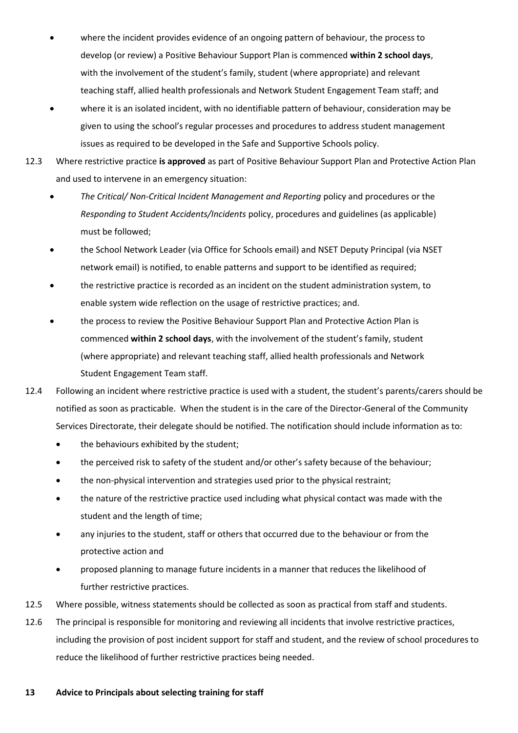- where the incident provides evidence of an ongoing pattern of behaviour, the process to develop (or review) a Positive Behaviour Support Plan is commenced **within 2 school days**, with the involvement of the student's family, student (where appropriate) and relevant teaching staff, allied health professionals and Network Student Engagement Team staff; and
- where it is an isolated incident, with no identifiable pattern of behaviour, consideration may be given to using the school's regular processes and procedures to address student management issues as required to be developed in the Safe and Supportive Schools policy.
- 12.3 Where restrictive practice **is approved** as part of Positive Behaviour Support Plan and Protective Action Plan and used to intervene in an emergency situation:
	- *The Critical/ Non-Critical Incident Management and Reporting* policy and procedures or the *Responding to Student Accidents/Incidents* policy, procedures and guidelines (as applicable) must be followed;
	- the School Network Leader (via Office for Schools email) and NSET Deputy Principal (via NSET network email) is notified, to enable patterns and support to be identified as required;
	- the restrictive practice is recorded as an incident on the student administration system, to enable system wide reflection on the usage of restrictive practices; and.
	- the process to review the Positive Behaviour Support Plan and Protective Action Plan is commenced **within 2 school days**, with the involvement of the student's family, student (where appropriate) and relevant teaching staff, allied health professionals and Network Student Engagement Team staff.
- 12.4 Following an incident where restrictive practice is used with a student, the student's parents/carers should be notified as soon as practicable. When the student is in the care of the Director-General of the Community Services Directorate, their delegate should be notified. The notification should include information as to:
	- the behaviours exhibited by the student:
	- the perceived risk to safety of the student and/or other's safety because of the behaviour;
	- the non-physical intervention and strategies used prior to the physical restraint;
	- the nature of the restrictive practice used including what physical contact was made with the student and the length of time;
	- any injuries to the student, staff or others that occurred due to the behaviour or from the protective action and
	- proposed planning to manage future incidents in a manner that reduces the likelihood of further restrictive practices.
- 12.5 Where possible, witness statements should be collected as soon as practical from staff and students.
- 12.6 The principal is responsible for monitoring and reviewing all incidents that involve restrictive practices, including the provision of post incident support for staff and student, and the review of school procedures to reduce the likelihood of further restrictive practices being needed.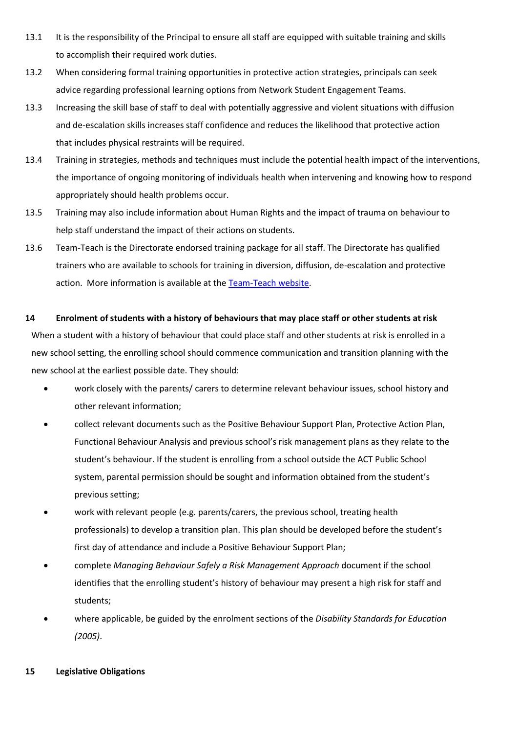- 13.1 It is the responsibility of the Principal to ensure all staff are equipped with suitable training and skills to accomplish their required work duties.
- 13.2 When considering formal training opportunities in protective action strategies, principals can seek advice regarding professional learning options from Network Student Engagement Teams.
- 13.3 Increasing the skill base of staff to deal with potentially aggressive and violent situations with diffusion and de-escalation skills increases staff confidence and reduces the likelihood that protective action that includes physical restraints will be required.
- 13.4 Training in strategies, methods and techniques must include the potential health impact of the interventions, the importance of ongoing monitoring of individuals health when intervening and knowing how to respond appropriately should health problems occur.
- 13.5 Training may also include information about Human Rights and the impact of trauma on behaviour to help staff understand the impact of their actions on students.
- 13.6 Team-Teach is the Directorate endorsed training package for all staff. The Directorate has qualified trainers who are available to schools for training in diversion, diffusion, de-escalation and protective action. More information is available at [the](http://www.team-teach.com.au/) [Team-Teach website.](http://www.team-teach.com.au/)

#### **14 Enrolment of students with a history of behaviours that may place staff or other students at risk**

When a student with a history of behaviour that could place staff and other students at risk is enrolled in a new school setting, the enrolling school should commence communication and transition planning with the new school at the earliest possible date. They should:

- work closely with the parents/ carers to determine relevant behaviour issues, school history and other relevant information;
- collect relevant documents such as the Positive Behaviour Support Plan, Protective Action Plan, Functional Behaviour Analysis and previous school's risk management plans as they relate to the student's behaviour. If the student is enrolling from a school outside the ACT Public School system, parental permission should be sought and information obtained from the student's previous setting;
- work with relevant people (e.g. parents/carers, the previous school, treating health professionals) to develop a transition plan. This plan should be developed before the student's first day of attendance and include a Positive Behaviour Support Plan;
- complete *Managing Behaviour Safely a Risk Management Approach* document if the school identifies that the enrolling student's history of behaviour may present a high risk for staff and students;
- where applicable, be guided by the enrolment sections of the *Disability Standards for Education (2005)*.

#### **15 Legislative Obligations**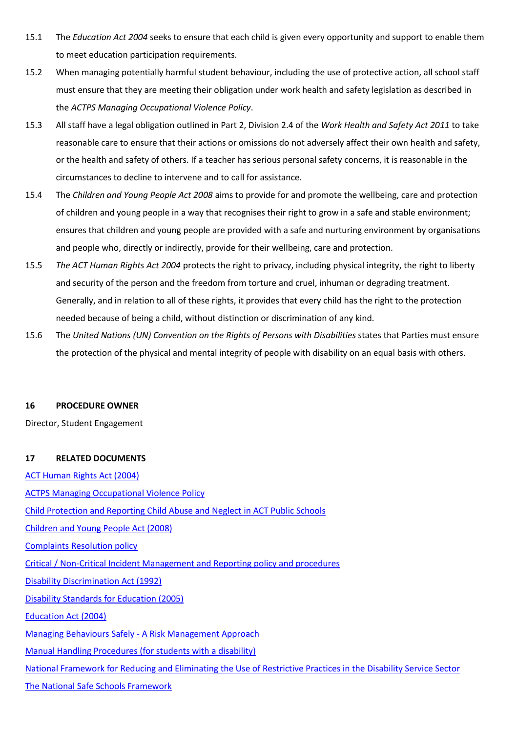- 15.1 The *Education Act 2004* seeks to ensure that each child is given every opportunity and support to enable them to meet education participation requirements.
- 15.2 When managing potentially harmful student behaviour, including the use of protective action, all school staff must ensure that they are meeting their obligation under work health and safety legislation as described in the *ACTPS Managing Occupational Violence Policy*.
- 15.3 All staff have a legal obligation outlined in Part 2, Division 2.4 of the *Work Health and Safety Act 2011* to take reasonable care to ensure that their actions or omissions do not adversely affect their own health and safety, or the health and safety of others. If a teacher has serious personal safety concerns, it is reasonable in the circumstances to decline to intervene and to call for assistance.
- 15.4 The *Children and Young People Act 2008* aims to provide for and promote the wellbeing, care and protection of children and young people in a way that recognises their right to grow in a safe and stable environment; ensures that children and young people are provided with a safe and nurturing environment by organisations and people who, directly or indirectly, provide for their wellbeing, care and protection.
- 15.5 *The ACT Human Rights Act 2004* protects the right to privacy, including physical integrity, the right to liberty and security of the person and the freedom from torture and cruel, inhuman or degrading treatment. Generally, and in relation to all of these rights, it provides that every child has the right to the protection needed because of being a child, without distinction or discrimination of any kind.
- 15.6 The *United Nations (UN) Convention on the Rights of Persons with Disabilities* states that Parties must ensure the protection of the physical and mental integrity of people with disability on an equal basis with others.

#### **16 PROCEDURE OWNER**

Director, Student Engagement

#### **17 RELATED DOCUMENTS**

[ACT Human Rights Act \(2004\)](http://www.legislation.act.gov.au/a/2004-5/current/pdf/2004-5.pdf) [ACTPS Managing Occupational Violence Policy](http://www.cmd.act.gov.au/__data/assets/word_doc/0006/489075/2012_whs_09_managingoccupationalviolence.doc) [Child Protection and Reporting Child Abuse and Neglect in ACT Public Schools](http://www.education.act.gov.au/__data/assets/word_doc/0012/618879/ChildProtectionPol.docx) [Children and Young People Act \(2008\)](http://www.legislation.act.gov.au/a/2008-19/current/pdf/2008-19.pdf) [Complaints Resolution policy](http://www.det.act.gov.au/__data/assets/pdf_file/0017/17621/Complaints_Resolution_updated.pdf) [Critical / Non-Critical Incident Management and Reporting policy and procedures](http://www.det.act.gov.au/__data/assets/pdf_file/0004/360535/CNCIM_and_R_Policy_Oct2012.pdf) [Disability Discrimination Act \(1992\)](https://www.legislation.gov.au/Details/C2016C00763) [Disability Standards for Education \(2005\)](https://www.legislation.gov.au/Details/F2005L00767) [Education Act \(2004\)](http://www.legislation.act.gov.au/a/2004-17/current/pdf/2004-17.pdf) Managing Behaviours Safely - [A Risk Management Approach](https://index.ed.act.edu.au/teaching-and-engagement/programs-and-services/student-wellbeing.html) [Manual Handling Procedures \(for students with a disability\)](https://index.ed.act.edu.au/our-people/whs/managing-specific-regulated-hazards/manual-handling.html) [National Framework for Reducing and Eliminating the Use of Restrictive Practices in the Disability Service Sector](https://www.dss.gov.au/our-responsibilities/disability-and-carers/publications-articles/policy-research/national-framework-for-reducing-and-eliminating-the-use-of-restrictive-practices-in-the-disability-service-sector) [The National Safe Schools Framework](https://docs.education.gov.au/system/files/doc/other/national_safe_schools_framework.pdf)